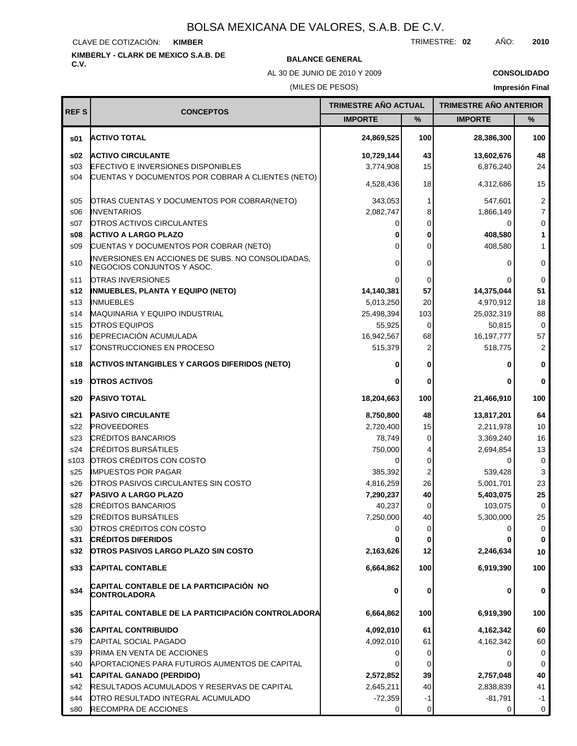### CLAVE DE COTIZACIÓN: **KIMBER**

s26

OTROS PASIVOS CIRCULANTES SIN COSTO

**OTROS PASIVOS LARGO PLAZO SIN COSTO**

**CAPITAL CONTABLE DE LA PARTICIPACIÓN NO**

**CAPITAL CONTABLE DE LA PARTICIPACIÓN CONTROLADORA**

APORTACIONES PARA FUTUROS AUMENTOS DE CAPITAL

RESULTADOS ACUMULADOS Y RESERVAS DE CAPITAL

CRÉDITOS BANCARIOS **PASIVO A LARGO PLAZO**

CRÉDITOS BURSÁTILES

OTROS CRÉDITOS CON COSTO

**CRÉDITOS DIFERIDOS**

**CAPITAL CONTABLE**

**CAPITAL CONTRIBUIDO** CAPITAL SOCIAL PAGADO

PRIMA EN VENTA DE ACCIONES

OTRO RESULTADO INTEGRAL ACUMULADO

**CAPITAL GANADO (PERDIDO)**

RECOMPRA DE ACCIONES

**CONTROLADORA**

s29 s28 **s27**

**s32 s31** s30

**s33**

**s34**

**s35 s36** s79

**s41** s40 s39

s44 s42

s80

# **KIMBERLY - CLARK DE MEXICO S.A.B. DE**

# **C.V. BALANCE GENERAL**

**7,290,237** 40,237

**2,163,626 0**

**6,664,862**

**6,664,862 4,092,010** 4,092,010 0 0

**2,572,852** 2,645,211 -72,359 0

4,816,259

0 7,250,000 26 **40**

**100**

**0**

0

**5,403,075** 103,075

5,001,701

5,300,000

**2,246,634**

**6,919,390**

**6,919,390 4,162,342** 4,162,342

**2,757,048** 2,838,839 -81,791  $\overline{0}$ 

0

23 **25**

**100**

**0**

0

**0**

**0**

0 0

**0**

TRIMESTRE: **02** AÑO: **2010**

|                 | AL 30 DE JUNIO DE 2010 Y 2009<br>(MILES DE PESOS)                               |                             | <b>CONSOLIDADO</b> |                                                         |                |
|-----------------|---------------------------------------------------------------------------------|-----------------------------|--------------------|---------------------------------------------------------|----------------|
|                 |                                                                                 | <b>TRIMESTRE AÑO ACTUAL</b> |                    | <b>Impresión Final</b><br><b>TRIMESTRE AÑO ANTERIOR</b> |                |
| <b>REFS</b>     | <b>CONCEPTOS</b>                                                                | <b>IMPORTE</b>              | $\frac{9}{6}$      | <b>IMPORTE</b>                                          | %              |
| \$01            | <b>ACTIVO TOTAL</b>                                                             | 24,869,525                  | 100                | 28,386,300                                              | 100            |
| \$02            | <b>ACTIVO CIRCULANTE</b>                                                        | 10,729,144                  | 43                 | 13,602,676                                              | 48             |
| \$03            | <b>EFECTIVO E INVERSIONES DISPONIBLES</b>                                       | 3,774,908                   | 15                 | 6,876,240                                               | 24             |
| s04             | CUENTAS Y DOCUMENTOS POR COBRAR A CLIENTES (NETO)                               | 4,528,436                   | 18                 | 4,312,686                                               | 15             |
| s05             | OTRAS CUENTAS Y DOCUMENTOS POR COBRAR(NETO)                                     | 343,053                     | 1                  | 547.601                                                 | $\overline{c}$ |
| \$06            | <b>INVENTARIOS</b>                                                              | 2,082,747                   | 8                  | 1,866,149                                               | $\overline{7}$ |
| s07             | <b>OTROS ACTIVOS CIRCULANTES</b>                                                |                             | U                  | 0                                                       | 0              |
| s08             | <b>ACTIVO A LARGO PLAZO</b>                                                     | 0                           |                    | 408,580                                                 | $\mathbf{1}$   |
| \$09            | CUENTAS Y DOCUMENTOS POR COBRAR (NETO)                                          | 0                           | U                  | 408,580                                                 | $\mathbf{1}$   |
| s <sub>10</sub> | INVERSIONES EN ACCIONES DE SUBS. NO CONSOLIDADAS,<br>NEGOCIOS CONJUNTOS Y ASOC. | 0                           | 0                  | 0                                                       | $\mathbf 0$    |
| s11             | <b>OTRAS INVERSIONES</b>                                                        | 0                           | 0                  | 0                                                       | $\mathbf 0$    |
| s12             | <b>INMUEBLES, PLANTA Y EQUIPO (NETO)</b>                                        | 14,140,381                  | 57                 | 14,375,044                                              | 51             |
| s <sub>13</sub> | <b>INMUEBLES</b>                                                                | 5,013,250                   | 20                 | 4,970,912                                               | 18             |
| s14             | MAQUINARIA Y EQUIPO INDUSTRIAL                                                  | 25,498,394                  | 103                | 25,032,319                                              | 88             |
| s15             | <b>OTROS EQUIPOS</b>                                                            | 55,925                      | $\Omega$           | 50,815                                                  | $\mathbf 0$    |
| s16             | <b>DEPRECIACIÓN ACUMULADA</b>                                                   | 16,942,567                  | 68                 | 16, 197, 777                                            | 57             |
| s17             | <b>CONSTRUCCIONES EN PROCESO</b>                                                | 515,379                     |                    | 518,775                                                 | 2              |
| s18             | <b>ACTIVOS INTANGIBLES Y CARGOS DIFERIDOS (NETO)</b>                            | 0                           |                    | 0                                                       | 0              |
| s19             | <b>OTROS ACTIVOS</b>                                                            | ŋ                           | U                  | ŋ                                                       | $\bf{0}$       |
| s20             | <b>PASIVO TOTAL</b>                                                             | 18,204,663                  | 100                | 21,466,910                                              | 100            |
| s21             | <b>PASIVO CIRCULANTE</b>                                                        | 8,750,800                   | 48                 | 13,817,201                                              | 64             |
| s22             | <b>PROVEEDORES</b>                                                              | 2,720,400                   | 15                 | 2,211,978                                               | 10             |
| s23             | <b>CRÉDITOS BANCARIOS</b>                                                       | 78,749                      | $\Omega$           | 3,369,240                                               | 16             |
| s24             | <b>CRÉDITOS BURSÁTILES</b>                                                      | 750,000                     |                    | 2,694,854                                               | 13             |
| s103            | OTROS CRÉDITOS CON COSTO                                                        | 0                           | 0                  | 0                                                       | $\mathbf 0$    |
| s25             | <b>IMPUESTOS POR PAGAR</b>                                                      | 385,392                     | 2                  | 539,428                                                 | 3              |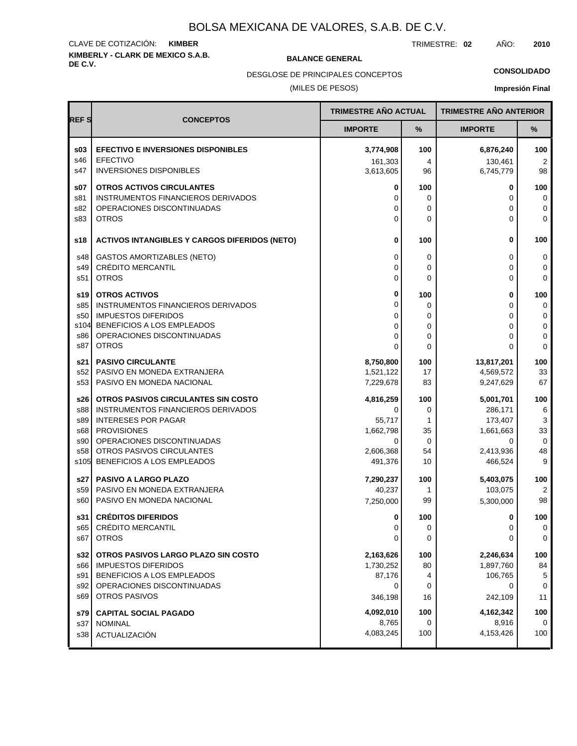# **KIMBERLY - CLARK DE MEXICO S.A.B.** CLAVE DE COTIZACIÓN: **KIMBER**

**BALANCE GENERAL** 

TRIMESTRE: **02** AÑO: **2010**

**CONSOLIDADO**

(MILES DE PESOS) DESGLOSE DE PRINCIPALES CONCEPTOS

# **Impresión Final**

| <b>REFS</b> |                                                                  | TRIMESTRE AÑO ACTUAL |              | <b>TRIMESTRE AÑO ANTERIOR</b> |                  |
|-------------|------------------------------------------------------------------|----------------------|--------------|-------------------------------|------------------|
|             | <b>CONCEPTOS</b>                                                 | <b>IMPORTE</b>       | %            | <b>IMPORTE</b>                | $\%$             |
| \$03        | <b>EFECTIVO E INVERSIONES DISPONIBLES</b>                        | 3,774,908            | 100          | 6,876,240                     | 100              |
| s46         | EFECTIVO                                                         | 161,303              | 4            | 130,461                       | $\overline{2}$   |
| s47         | <b>INVERSIONES DISPONIBLES</b>                                   | 3,613,605            | 96           | 6,745,779                     | 98               |
| s07         | <b>OTROS ACTIVOS CIRCULANTES</b>                                 | 0                    | 100          | 0                             | 100              |
| s81<br>s82  | INSTRUMENTOS FINANCIEROS DERIVADOS<br>OPERACIONES DISCONTINUADAS | 0<br>0               | 0<br>0       | 0<br>0                        | $\mathbf 0$<br>0 |
| s83         | <b>OTROS</b>                                                     | 0                    | 0            | 0                             | $\mathbf 0$      |
|             |                                                                  |                      |              |                               |                  |
| s18         | <b>ACTIVOS INTANGIBLES Y CARGOS DIFERIDOS (NETO)</b>             | 0                    | 100          | 0                             | 100              |
| s48         | <b>GASTOS AMORTIZABLES (NETO)</b>                                | 0                    | 0            | 0                             | 0                |
| s49         | <b>CRÉDITO MERCANTIL</b>                                         | 0                    | 0            | 0                             | 0                |
| s51         | <b>OTROS</b>                                                     | 0                    | $\Omega$     | 0                             | $\Omega$         |
| s19         | <b>OTROS ACTIVOS</b>                                             | 0                    | 100          | 0                             | 100              |
| s85         | INSTRUMENTOS FINANCIEROS DERIVADOS                               | 0                    | 0            | 0                             | 0                |
| s50<br>s104 | <b>IMPUESTOS DIFERIDOS</b><br>BENEFICIOS A LOS EMPLEADOS         | 0<br>0               | 0<br>0       | 0<br>0                        | 0<br>0           |
| s86         | OPERACIONES DISCONTINUADAS                                       | $\Omega$             | 0            | 0                             | 0                |
| s87         | <b>OTROS</b>                                                     | $\Omega$             | $\mathbf{0}$ | 0                             | $\Omega$         |
| s21         | <b>PASIVO CIRCULANTE</b>                                         | 8,750,800            | 100          | 13,817,201                    | 100              |
| s52         | PASIVO EN MONEDA EXTRANJERA                                      | 1,521,122            | 17           | 4,569,572                     | 33               |
| s53         | PASIVO EN MONEDA NACIONAL                                        | 7,229,678            | 83           | 9,247,629                     | 67               |
| s26         | OTROS PASIVOS CIRCULANTES SIN COSTO                              | 4,816,259            | 100          | 5,001,701                     | 100              |
| s88         | INSTRUMENTOS FINANCIEROS DERIVADOS                               | 0                    | 0            | 286,171                       | 6                |
| s89<br>s68  | <b>INTERESES POR PAGAR</b><br><b>PROVISIONES</b>                 | 55,717<br>1,662,798  | 1<br>35      | 173,407<br>1,661,663          | 3<br>33          |
| s90         | OPERACIONES DISCONTINUADAS                                       | 0                    | 0            | 0                             | $\mathbf 0$      |
| s58         | OTROS PASIVOS CIRCULANTES                                        | 2,606,368            | 54           | 2,413,936                     | 48               |
| s105        | BENEFICIOS A LOS EMPLEADOS                                       | 491,376              | 10           | 466,524                       | 9                |
| s27         | <b>PASIVO A LARGO PLAZO</b>                                      | 7,290,237            | 100          | 5,403,075                     | 100              |
| s59         | PASIVO EN MONEDA EXTRANJERA                                      | 40,237               | 1            | 103,075                       | 2                |
| s60         | PASIVO EN MONEDA NACIONAL                                        | 7,250,000            | 99           | 5,300,000                     | 98               |
| s31         | <b>CRÉDITOS DIFERIDOS</b>                                        | 0                    | 100          | 0                             | 100              |
| s65         | <b>CREDITO MERCANTIL</b>                                         | 0                    | 0            | 0                             | 0                |
| s67         | <b>OTROS</b>                                                     | 0                    | 0            | 0                             | 0                |
| s32         | OTROS PASIVOS LARGO PLAZO SIN COSTO                              | 2,163,626            | 100          | 2,246,634                     | 100              |
| s66         | <b>IMPUESTOS DIFERIDOS</b>                                       | 1,730,252            | 80           | 1,897,760                     | 84               |
| s91         | BENEFICIOS A LOS EMPLEADOS<br>OPERACIONES DISCONTINUADAS         | 87,176<br>0          | 4            | 106,765<br>0                  | 5                |
| s92<br>s69  | <b>OTROS PASIVOS</b>                                             | 346,198              | 0<br>16      | 242,109                       | 0<br>11          |
|             |                                                                  |                      |              |                               |                  |
| s79<br>s37  | <b>CAPITAL SOCIAL PAGADO</b><br><b>NOMINAL</b>                   | 4,092,010<br>8,765   | 100<br>0     | 4,162,342<br>8,916            | 100<br>0         |
| s38         | ACTUALIZACIÓN                                                    | 4,083,245            | 100          | 4,153,426                     | 100              |
|             |                                                                  |                      |              |                               |                  |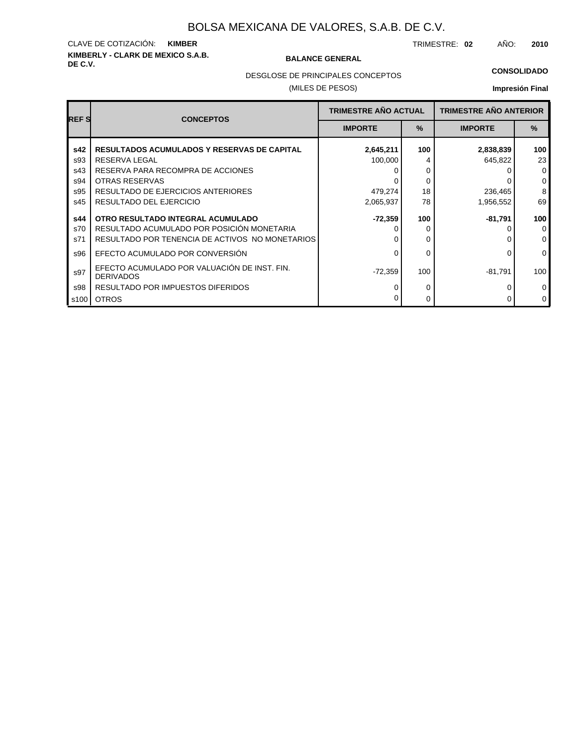# **KIMBERLY - CLARK DE MEXICO S.A.B.** CLAVE DE COTIZACIÓN: **KIMBER**

### **BALANCE GENERAL**

TRIMESTRE: **02** AÑO: **2010**

### **CONSOLIDADO**

DESGLOSE DE PRINCIPALES CONCEPTOS

## (MILES DE PESOS)

# **Impresión Final**

| <b>REFS</b> | <b>CONCEPTOS</b>                                                 | <b>TRIMESTRE AÑO ACTUAL</b><br>$\frac{9}{6}$<br><b>IMPORTE</b> |     | <b>TRIMESTRE AÑO ANTERIOR</b> |             |
|-------------|------------------------------------------------------------------|----------------------------------------------------------------|-----|-------------------------------|-------------|
|             |                                                                  |                                                                |     | <b>IMPORTE</b>                | $\%$        |
| s42         | <b>RESULTADOS ACUMULADOS Y RESERVAS DE CAPITAL</b>               | 2,645,211                                                      | 100 | 2,838,839                     | 100         |
| s93         | RESERVA LEGAL                                                    | 100,000                                                        | 4   | 645,822                       | 23          |
| s43         | RESERVA PARA RECOMPRA DE ACCIONES                                |                                                                | 0   |                               | $\mathbf 0$ |
| s94         | OTRAS RESERVAS                                                   |                                                                | 0   |                               | $\mathbf 0$ |
| s95         | RESULTADO DE EJERCICIOS ANTERIORES                               | 479,274                                                        | 18  | 236,465                       | 8           |
| s45         | RESULTADO DEL EJERCICIO                                          | 2,065,937                                                      | 78  | 1,956,552                     | 69          |
| s44         | OTRO RESULTADO INTEGRAL ACUMULADO                                | -72,359                                                        | 100 | -81,791                       | 100         |
| s70         | RESULTADO ACUMULADO POR POSICIÓN MONETARIA                       |                                                                | 0   |                               | $\Omega$    |
| s71         | RESULTADO POR TENENCIA DE ACTIVOS NO MONETARIOS                  |                                                                | 0   |                               | $\mathbf 0$ |
| s96         | EFECTO ACUMULADO POR CONVERSIÓN                                  | <sup>0</sup>                                                   | 0   | 0                             | $\mathbf 0$ |
| s97         | EFECTO ACUMULADO POR VALUACIÓN DE INST. FIN.<br><b>DERIVADOS</b> | -72,359                                                        | 100 | -81,791                       | 100         |
| s98         | <b>RESULTADO POR IMPUESTOS DIFERIDOS</b>                         | ∩                                                              | 0   |                               | 0           |
| s100        | <b>OTROS</b>                                                     |                                                                | 0   |                               | $\mathbf 0$ |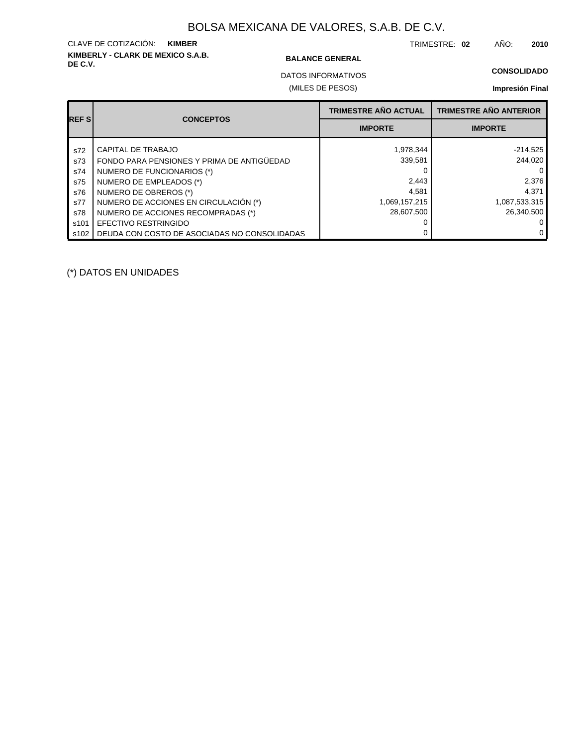# **KIMBERLY - CLARK DE MEXICO S.A.B.** CLAVE DE COTIZACIÓN: **KIMBER**

### **BALANCE GENERAL**

TRIMESTRE: **02** AÑO: **2010**

## **CONSOLIDADO**

(MILES DE PESOS) DATOS INFORMATIVOS

## **Impresión Final**

| <b>REFS</b> | <b>CONCEPTOS</b>                             | <b>TRIMESTRE AÑO ACTUAL</b> | <b>TRIMESTRE AÑO ANTERIOR</b> |
|-------------|----------------------------------------------|-----------------------------|-------------------------------|
|             |                                              | <b>IMPORTE</b>              | <b>IMPORTE</b>                |
| s72         | CAPITAL DE TRABAJO                           | 1,978,344                   | $-214,525$                    |
| s73         | FONDO PARA PENSIONES Y PRIMA DE ANTIGÜEDAD   | 339,581                     | 244.020                       |
| s74         | NUMERO DE FUNCIONARIOS (*)                   |                             | 0                             |
| s75         | NUMERO DE EMPLEADOS (*)                      | 2,443                       | 2,376                         |
| s76         | NUMERO DE OBREROS (*)                        | 4,581                       | 4,371                         |
| s77         | NUMERO DE ACCIONES EN CIRCULACIÓN (*)        | 1,069,157,215               | 1,087,533,315                 |
| s78         | NUMERO DE ACCIONES RECOMPRADAS (*)           | 28.607.500                  | 26.340.500                    |
| s101        | EFECTIVO RESTRINGIDO                         |                             |                               |
| s102        | DEUDA CON COSTO DE ASOCIADAS NO CONSOLIDADAS |                             | 0                             |

(\*) DATOS EN UNIDADES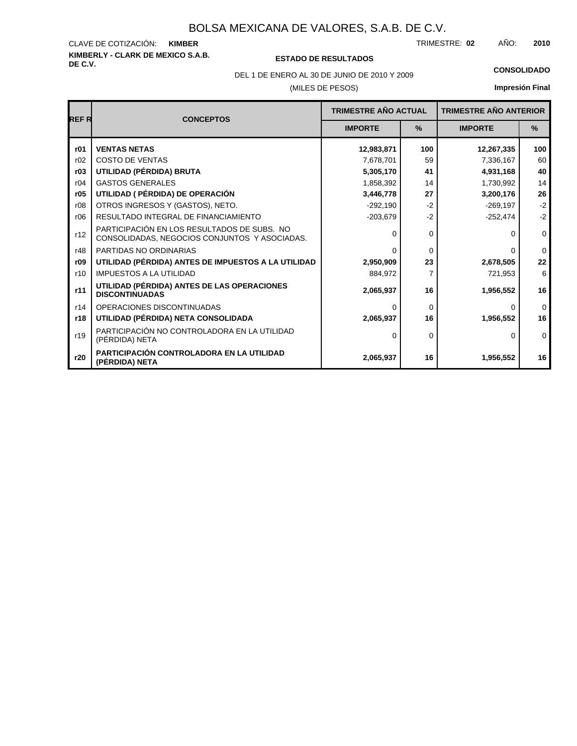### **KIMBERLY - CLARK DE MEXICO S.A.B.** CLAVE DE COTIZACIÓN: TRIMESTRE: AÑO: **KIMBER 02 2010**

# **DE C.V. ESTADO DE RESULTADOS**

(MILES DE PESOS) DEL 1 DE ENERO AL 30 DE JUNIO DE 2010 Y 2009 **CONSOLIDADO**

**Impresión Final**

| <b>REFR</b> | <b>CONCEPTOS</b>                                                                             | <b>TRIMESTRE AÑO ACTUAL</b> |               | <b>TRIMESTRE AÑO ANTERIOR</b> |               |
|-------------|----------------------------------------------------------------------------------------------|-----------------------------|---------------|-------------------------------|---------------|
|             |                                                                                              | <b>IMPORTE</b>              | $\frac{9}{6}$ |                               | $\frac{9}{6}$ |
| r01         | <b>VENTAS NETAS</b>                                                                          | 12,983,871                  | 100           | 12,267,335                    | 100           |
| r02         | <b>COSTO DE VENTAS</b>                                                                       | 7,678,701                   | 59            | 7,336,167                     | 60            |
| r03         | UTILIDAD (PÉRDIDA) BRUTA                                                                     | 5,305,170                   | 41            | 4,931,168                     | 40            |
| r04         | <b>GASTOS GENERALES</b>                                                                      | 1,858,392                   | 14            | 1,730,992                     | 14            |
| r05         | UTILIDAD ( PÉRDIDA) DE OPERACIÓN                                                             | 3,446,778                   | 27            | 3,200,176                     | 26            |
| r08         | OTROS INGRESOS Y (GASTOS), NETO.                                                             | $-292,190$                  | $-2$          | $-269,197$                    | $-2$          |
| r06         | RESULTADO INTEGRAL DE FINANCIAMIENTO                                                         | $-203,679$                  | $-2$          | $-252,474$                    | $-2$          |
| r12         | PARTICIPACIÓN EN LOS RESULTADOS DE SUBS. NO<br>CONSOLIDADAS, NEGOCIOS CONJUNTOS Y ASOCIADAS. | $\Omega$                    | $\mathbf 0$   | n                             | $\mathbf 0$   |
| r48         | PARTIDAS NO ORDINARIAS                                                                       | ∩                           | $\Omega$      | o                             | $\Omega$      |
| r09         | UTILIDAD (PÉRDIDA) ANTES DE IMPUESTOS A LA UTILIDAD                                          | 2,950,909                   | 23            | 2,678,505                     | 22            |
| r10         | <b>IMPUESTOS A LA UTILIDAD</b>                                                               | 884,972                     | 7             | 721,953                       | 6             |
| r11         | UTILIDAD (PÉRDIDA) ANTES DE LAS OPERACIONES<br><b>DISCONTINUADAS</b>                         | 2,065,937                   | 16            | 1,956,552                     | 16            |
| r14         | OPERACIONES DISCONTINUADAS                                                                   | ∩                           | $\Omega$      | <sup>0</sup>                  | $\Omega$      |
| r18         | UTILIDAD (PÉRDIDA) NETA CONSOLIDADA                                                          | 2,065,937                   | 16            | 1,956,552                     | 16            |
| r19         | PARTICIPACIÓN NO CONTROLADORA EN LA UTILIDAD<br>(PÉRDIDA) NETA                               | $\Omega$                    | $\Omega$      | 0                             | $\Omega$      |
| r20         | PARTICIPACIÓN CONTROLADORA EN LA UTILIDAD<br>(PÉRDIDA) NETA                                  | 2,065,937                   | 16            | 1,956,552                     | 16            |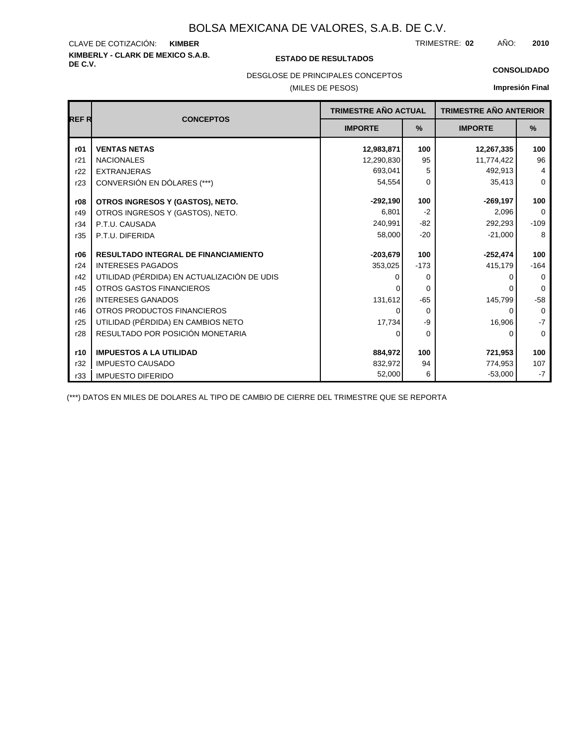# **KIMBERLY - CLARK DE MEXICO S.A.B.** CLAVE DE COTIZACIÓN:

## **DE C.V. ESTADO DE RESULTADOS**

TRIMESTRE: AÑO: **KIMBER 02 2010**

**CONSOLIDADO**

## DESGLOSE DE PRINCIPALES CONCEPTOS

## (MILES DE PESOS)

**Impresión Final**

| <b>REFR</b> | <b>CONCEPTOS</b>                            | <b>TRIMESTRE AÑO ACTUAL</b> |          | <b>TRIMESTRE AÑO ANTERIOR</b> |             |  |
|-------------|---------------------------------------------|-----------------------------|----------|-------------------------------|-------------|--|
|             |                                             | <b>IMPORTE</b>              | %        | <b>IMPORTE</b>                | %           |  |
| r01         | <b>VENTAS NETAS</b>                         | 12,983,871                  | 100      | 12,267,335                    | 100         |  |
| r21         | <b>NACIONALES</b>                           | 12,290,830                  | 95       | 11,774,422                    | 96          |  |
| r22         | <b>EXTRANJERAS</b>                          | 693,041                     | 5        | 492,913                       | 4           |  |
| r23         | CONVERSIÓN EN DÓLARES (***)                 | 54,554                      | $\Omega$ | 35,413                        | $\Omega$    |  |
| r08         | OTROS INGRESOS Y (GASTOS), NETO.            | $-292,190$                  | 100      | $-269, 197$                   | 100         |  |
| r49         | OTROS INGRESOS Y (GASTOS), NETO.            | 6.801                       | $-2$     | 2.096                         | $\Omega$    |  |
| r34         | P.T.U. CAUSADA                              | 240,991                     | -82      | 292,293                       | $-109$      |  |
| r35         | P.T.U. DIFERIDA                             | 58,000                      | $-20$    | $-21,000$                     | 8           |  |
|             |                                             |                             |          |                               |             |  |
| r06         | <b>RESULTADO INTEGRAL DE FINANCIAMIENTO</b> | $-203,679$                  | 100      | $-252,474$                    | 100         |  |
| r24         | <b>INTERESES PAGADOS</b>                    | 353,025                     | $-173$   | 415,179                       | $-164$      |  |
| r42         | UTILIDAD (PÉRDIDA) EN ACTUALIZACIÓN DE UDIS |                             | 0        | O                             | $\Omega$    |  |
| r45         | <b>OTROS GASTOS FINANCIEROS</b>             |                             | $\Omega$ | 0                             | $\Omega$    |  |
| r26         | <b>INTERESES GANADOS</b>                    | 131,612                     | $-65$    | 145,799                       | $-58$       |  |
| r46         | OTROS PRODUCTOS FINANCIEROS                 | 0                           | $\Omega$ | 0                             | $\Omega$    |  |
| r25         | UTILIDAD (PÉRDIDA) EN CAMBIOS NETO          | 17,734                      | -9       | 16,906                        | $-7$        |  |
| r28         | RESULTADO POR POSICIÓN MONETARIA            | 0                           | 0        | 0                             | $\mathbf 0$ |  |
|             |                                             |                             |          |                               |             |  |
| r10         | <b>IMPUESTOS A LA UTILIDAD</b>              | 884.972                     | 100      | 721,953                       | 100         |  |
| r32         | <b>IMPUESTO CAUSADO</b>                     | 832,972                     | 94       | 774,953                       | 107         |  |
| r33         | <b>IMPUESTO DIFERIDO</b>                    | 52,000                      | 6        | $-53,000$                     | $-7$        |  |

(\*\*\*) DATOS EN MILES DE DOLARES AL TIPO DE CAMBIO DE CIERRE DEL TRIMESTRE QUE SE REPORTA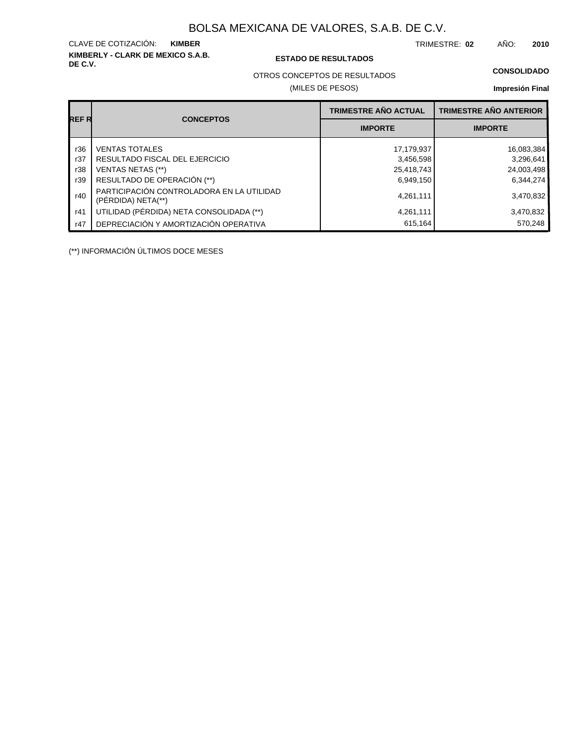**KIMBERLY - CLARK DE MEXICO S.A.B.** CLAVE DE COTIZACIÓN:

## **DE C.V. ESTADO DE RESULTADOS**

TRIMESTRE: AÑO: **KIMBER 02 2010**

OTROS CONCEPTOS DE RESULTADOS

(MILES DE PESOS)

### **CONSOLIDADO**

**Impresión Final**

|       |                                                                 | <b>TRIMESTRE AÑO ACTUAL</b> | <b>TRIMESTRE AÑO ANTERIOR</b> |
|-------|-----------------------------------------------------------------|-----------------------------|-------------------------------|
| REF R | <b>CONCEPTOS</b>                                                | <b>IMPORTE</b>              | <b>IMPORTE</b>                |
| r36   | <b>VENTAS TOTALES</b>                                           | 17,179,937                  | 16,083,384                    |
| r37   | RESULTADO FISCAL DEL EJERCICIO                                  | 3,456,598                   | 3,296,641                     |
| r38   | <b>VENTAS NETAS (**)</b>                                        | 25,418,743                  | 24,003,498                    |
| r39   | RESULTADO DE OPERACIÓN (**)                                     | 6,949,150                   | 6,344,274                     |
| r40   | PARTICIPACIÓN CONTROLADORA EN LA UTILIDAD<br>(PERDIDA) NETA(**) | 4,261,111                   | 3,470,832                     |
| r41   | UTILIDAD (PÉRDIDA) NETA CONSOLIDADA (**)                        | 4,261,111                   | 3,470,832                     |
| r47   | DEPRECIACIÓN Y AMORTIZACIÓN OPERATIVA                           | 615,164                     | 570,248                       |

(\*\*) INFORMACIÓN ÚLTIMOS DOCE MESES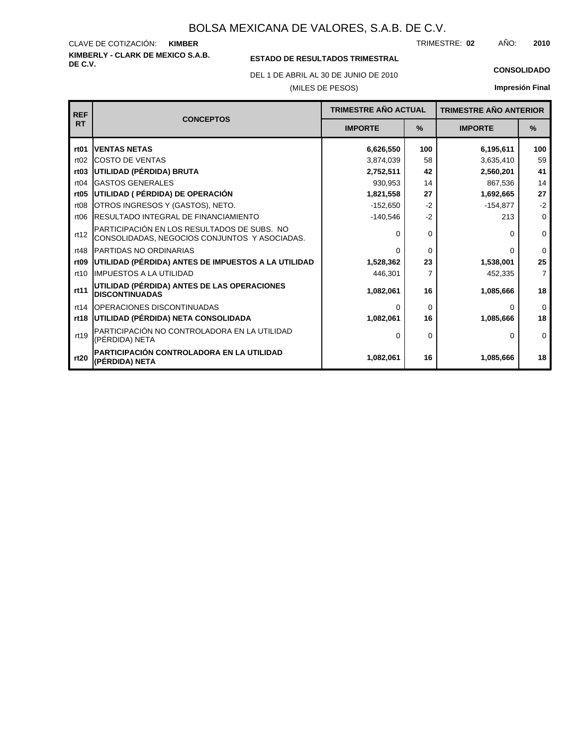**KIMBERLY - CLARK DE MEXICO S.A.B.** CLAVE DE COTIZACIÓN: TRIMESTRE: AÑO: **KIMBER 02 2010**

# **ESTADO DE RESULTADOS TRIMESTRAL**

DEL 1 DE ABRIL AL 30 DE JUNIO DE 2010 **CONSOLIDADO**

## (MILES DE PESOS)

**Impresión Final**

| <b>REF</b>       |                                                                                              | <b>TRIMESTRE AÑO ACTUAL</b><br><b>CONCEPTOS</b> |          | <b>TRIMESTRE AÑO ANTERIOR</b> |                |
|------------------|----------------------------------------------------------------------------------------------|-------------------------------------------------|----------|-------------------------------|----------------|
| <b>RT</b>        |                                                                                              | <b>IMPORTE</b>                                  | $\%$     | <b>IMPORTE</b>                | $\frac{9}{6}$  |
| rt <sub>01</sub> | <b>IVENTAS NETAS</b>                                                                         | 6,626,550                                       | 100      | 6,195,611                     | 100            |
| rt02             | <b>ICOSTO DE VENTAS</b>                                                                      | 3,874,039                                       | 58       | 3,635,410                     | 59             |
| rt <sub>03</sub> | UTILIDAD (PÉRDIDA) BRUTA                                                                     | 2,752,511                                       | 42       | 2,560,201                     | 41             |
| rt04             | <b>GASTOS GENERALES</b>                                                                      | 930,953                                         | 14       | 867,536                       | 14             |
| rt <sub>05</sub> | UTILIDAD ( PÉRDIDA) DE OPERACIÓN                                                             | 1,821,558                                       | 27       | 1,692,665                     | 27             |
| rt <sub>08</sub> | OTROS INGRESOS Y (GASTOS), NETO.                                                             | $-152,650$                                      | $-2$     | $-154.877$                    | $-2$           |
| rt <sub>06</sub> | <b>IRESULTADO INTEGRAL DE FINANCIAMIENTO</b>                                                 | $-140,546$                                      | $-2$     | 213                           | $\mathbf 0$    |
| rt12             | PARTICIPACIÓN EN LOS RESULTADOS DE SUBS. NO<br>CONSOLIDADAS, NEGOCIOS CONJUNTOS Y ASOCIADAS. | $\Omega$                                        | 0        | O                             | $\mathbf 0$    |
| rt48             | <b>IPARTIDAS NO ORDINARIAS</b>                                                               | $\Omega$                                        | $\Omega$ | <sup>0</sup>                  | $\Omega$       |
| rt <sub>09</sub> | UTILIDAD (PÉRDIDA) ANTES DE IMPUESTOS A LA UTILIDAD                                          | 1,528,362                                       | 23       | 1,538,001                     | 25             |
| rt10             | <b>IIMPUESTOS A LA UTILIDAD</b>                                                              | 446,301                                         | 7        | 452,335                       | $\overline{7}$ |
| rt11             | UTILIDAD (PÉRDIDA) ANTES DE LAS OPERACIONES<br><b>DISCONTINUADAS</b>                         | 1,082,061                                       | 16       | 1,085,666                     | 18             |
| rt14             | <b>IOPERACIONES DISCONTINUADAS</b>                                                           | $\Omega$                                        | 0        | 0                             | $\mathbf 0$    |
| rt18             | UTILIDAD (PÉRDIDA) NETA CONSOLIDADA                                                          | 1,082,061                                       | 16       | 1,085,666                     | 18             |
| rt19             | PARTICIPACIÓN NO CONTROLADORA EN LA UTILIDAD<br>(PÉRDIDA) NETA                               | $\Omega$                                        | 0        | 0                             | $\Omega$       |
| rt20             | PARTICIPACIÓN CONTROLADORA EN LA UTILIDAD<br>(PÉRDIDA) NETA                                  | 1,082,061                                       | 16       | 1,085,666                     | 18             |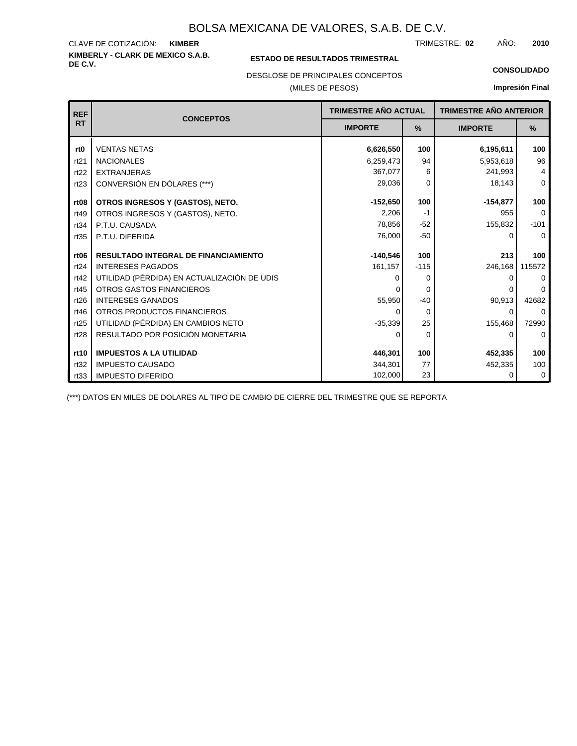### **KIMBERLY - CLARK DE MEXICO S.A.B.** CLAVE DE COTIZACIÓN: TRIMESTRE: AÑO: **KIMBER 02 2010**

## **ESTADO DE RESULTADOS TRIMESTRAL**

DESGLOSE DE PRINCIPALES CONCEPTOS

## (MILES DE PESOS)

### **CONSOLIDADO**

**Impresión Final**

| <b>REF</b>       | <b>CONCEPTOS</b>                            | TRIMESTRE AÑO ACTUAL |               | <b>TRIMESTRE AÑO ANTERIOR</b> |          |
|------------------|---------------------------------------------|----------------------|---------------|-------------------------------|----------|
| <b>RT</b>        | <b>IMPORTE</b>                              |                      | $\frac{9}{6}$ | <b>IMPORTE</b>                | %        |
| rt <sub>0</sub>  | <b>VENTAS NETAS</b>                         | 6,626,550            | 100           | 6,195,611                     | 100      |
| rt21             | <b>NACIONALES</b>                           | 6,259,473            | 94            | 5,953,618                     | 96       |
| rt22             | <b>EXTRANJERAS</b>                          | 367,077              | 6             | 241,993                       | 4        |
| rt23             | CONVERSIÓN EN DÓLARES (***)                 | 29,036               | 0             | 18,143                        | $\Omega$ |
| rt <sub>08</sub> | OTROS INGRESOS Y (GASTOS), NETO.            | $-152,650$           | 100           | $-154,877$                    | 100      |
| rt49             | OTROS INGRESOS Y (GASTOS), NETO.            | 2,206                | -1            | 955                           | $\Omega$ |
| rt34             | P.T.U. CAUSADA                              | 78,856               | $-52$         | 155,832                       | $-101$   |
| rt35             | P.T.U. DIFERIDA                             | 76,000               | $-50$         | ∩                             | $\Omega$ |
|                  |                                             |                      |               |                               |          |
| rt <sub>06</sub> | <b>RESULTADO INTEGRAL DE FINANCIAMIENTO</b> | $-140,546$           | 100           | 213                           | 100      |
| rt24             | <b>INTERESES PAGADOS</b>                    | 161,157              | $-115$        | 246,168                       | 115572   |
| rt42             | UTILIDAD (PÉRDIDA) EN ACTUALIZACIÓN DE UDIS |                      | 0             | O                             | $\Omega$ |
| rt45             | <b>OTROS GASTOS FINANCIEROS</b>             |                      | $\Omega$      |                               | $\Omega$ |
| rt26             | <b>INTERESES GANADOS</b>                    | 55,950               | $-40$         | 90,913                        | 42682    |
| rt46             | OTROS PRODUCTOS FINANCIEROS                 | 0                    | $\Omega$      | $\Omega$                      | $\Omega$ |
| rt25             | UTILIDAD (PÉRDIDA) EN CAMBIOS NETO          | $-35,339$            | 25            | 155,468                       | 72990    |
| rt28             | RESULTADO POR POSICIÓN MONETARIA            | 0                    | $\Omega$      | 0                             | $\Omega$ |
|                  |                                             |                      |               |                               |          |
| rt10             | <b>IMPUESTOS A LA UTILIDAD</b>              | 446,301              | 100           | 452,335                       | 100      |
| rt32             | <b>IMPUESTO CAUSADO</b>                     | 344,301              | 77            | 452,335                       | 100      |
| rt33             | <b>IMPUESTO DIFERIDO</b>                    | 102,000              | 23            |                               | 0        |

(\*\*\*) DATOS EN MILES DE DOLARES AL TIPO DE CAMBIO DE CIERRE DEL TRIMESTRE QUE SE REPORTA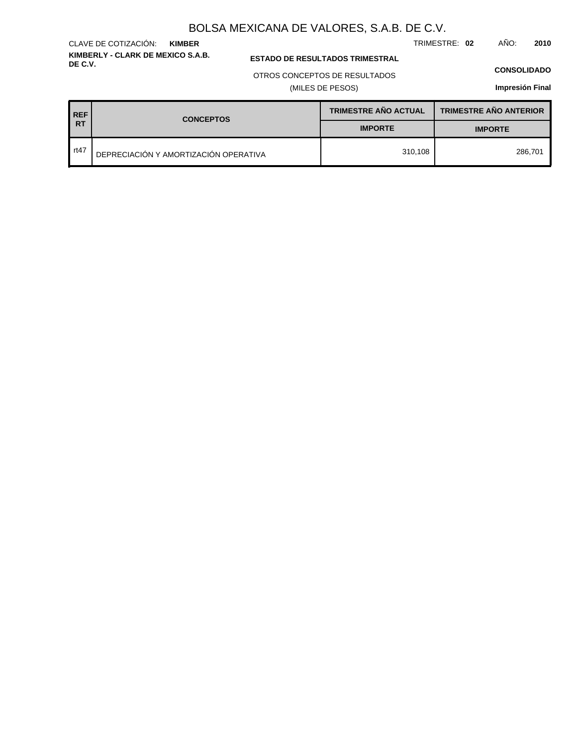TRIMESTRE: **02** AÑO: **2010**

**ESTADO DE RESULTADOS TRIMESTRAL** 

### OTROS CONCEPTOS DE RESULTADOS

(MILES DE PESOS)

### **CONSOLIDADO**

**Impresión Final**

| <b>REF</b><br><b>RT</b> | <b>CONCEPTOS</b>                      | <b>TRIMESTRE AÑO ACTUAL</b> | <b>TRIMESTRE AÑO ANTERIOR</b> |  |
|-------------------------|---------------------------------------|-----------------------------|-------------------------------|--|
|                         |                                       | <b>IMPORTE</b>              | <b>IMPORTE</b>                |  |
| rt47                    | DEPRECIACIÓN Y AMORTIZACIÓN OPERATIVA | 310.108                     | 286.701                       |  |

### **KIMBERLY - CLARK DE MEXICO S.A.B.** CLAVE DE COTIZACIÓN: **KIMBER**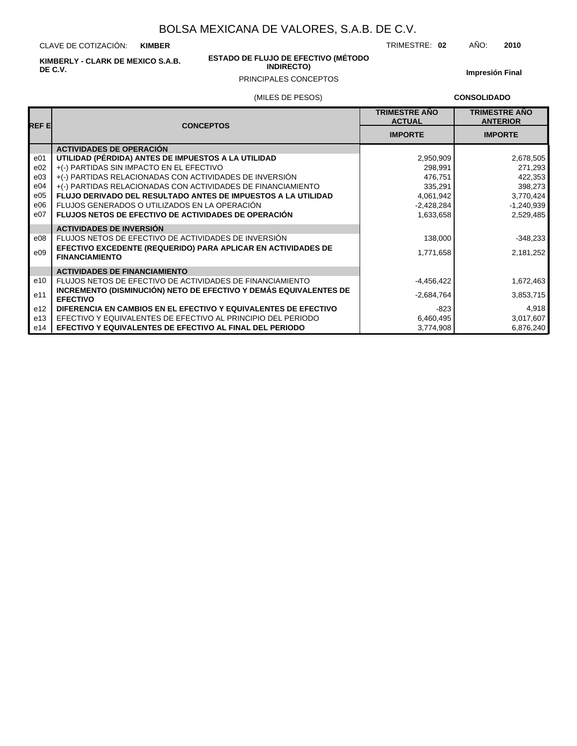CLAVE DE COTIZACIÓN: **KIMBER**

**KIMBERLY - CLARK DE MEXICO S.A.B. DE C.V.**

# **ESTADO DE FLUJO DE EFECTIVO (MÉTODO**

**Impresión Final**

# (MILES DE PESOS) PRINCIPALES CONCEPTOS

**CONSOLIDADO**

| REF E           | <b>CONCEPTOS</b>                                                                       | <b>TRIMESTRE AÑO</b><br><b>ACTUAL</b> | <b>TRIMESTRE AÑO</b><br><b>ANTERIOR</b> |  |
|-----------------|----------------------------------------------------------------------------------------|---------------------------------------|-----------------------------------------|--|
|                 |                                                                                        | <b>IMPORTE</b>                        | <b>IMPORTE</b>                          |  |
|                 | <b>ACTIVIDADES DE OPERACIÓN</b>                                                        |                                       |                                         |  |
| e <sub>01</sub> | UTILIDAD (PÉRDIDA) ANTES DE IMPUESTOS A LA UTILIDAD                                    | 2,950,909                             | 2,678,505                               |  |
| e02             | +(-) PARTIDAS SIN IMPACTO EN EL EFECTIVO                                               | 298,991                               | 271,293                                 |  |
| e03             | +(-) PARTIDAS RELACIONADAS CON ACTIVIDADES DE INVERSIÓN                                | 476,751                               | 422,353                                 |  |
| e04             | +(-) PARTIDAS RELACIONADAS CON ACTIVIDADES DE FINANCIAMIENTO                           | 335,291                               | 398,273                                 |  |
| e05             | FLUJO DERIVADO DEL RESULTADO ANTES DE IMPUESTOS A LA UTILIDAD                          | 4,061,942                             | 3,770,424                               |  |
| e06             | FLUJOS GENERADOS O UTILIZADOS EN LA OPERACIÓN                                          | $-2,428,284$                          | $-1,240,939$                            |  |
| e07             | FLUJOS NETOS DE EFECTIVO DE ACTIVIDADES DE OPERACIÓN                                   | 1,633,658                             | 2,529,485                               |  |
|                 | <b>ACTIVIDADES DE INVERSIÓN</b>                                                        |                                       |                                         |  |
| e08             | FLUJOS NETOS DE EFECTIVO DE ACTIVIDADES DE INVERSIÓN                                   | 138,000                               | $-348,233$                              |  |
| e09             | EFECTIVO EXCEDENTE (REQUERIDO) PARA APLICAR EN ACTIVIDADES DE<br><b>FINANCIAMIENTO</b> | 1,771,658                             | 2,181,252                               |  |
|                 | <b>ACTIVIDADES DE FINANCIAMIENTO</b>                                                   |                                       |                                         |  |
| e10             | FLUJOS NETOS DE EFECTIVO DE ACTIVIDADES DE FINANCIAMIENTO                              | $-4,456,422$                          | 1,672,463                               |  |
| e11             | INCREMENTO (DISMINUCIÓN) NETO DE EFECTIVO Y DEMÁS EQUIVALENTES DE<br><b>EFECTIVO</b>   | $-2,684,764$                          | 3,853,715                               |  |
| e <sub>12</sub> | DIFERENCIA EN CAMBIOS EN EL EFECTIVO Y EQUIVALENTES DE EFECTIVO                        | $-823$                                | 4,918                                   |  |
| e13             | EFECTIVO Y EQUIVALENTES DE EFECTIVO AL PRINCIPIO DEL PERIODO                           | 6,460,495                             | 3,017,607                               |  |
| e14             | EFECTIVO Y EQUIVALENTES DE EFECTIVO AL FINAL DEL PERIODO                               | 3,774,908                             | 6,876,240                               |  |

TRIMESTRE: **02** AÑO: **2010**

# **INDIRECTO)**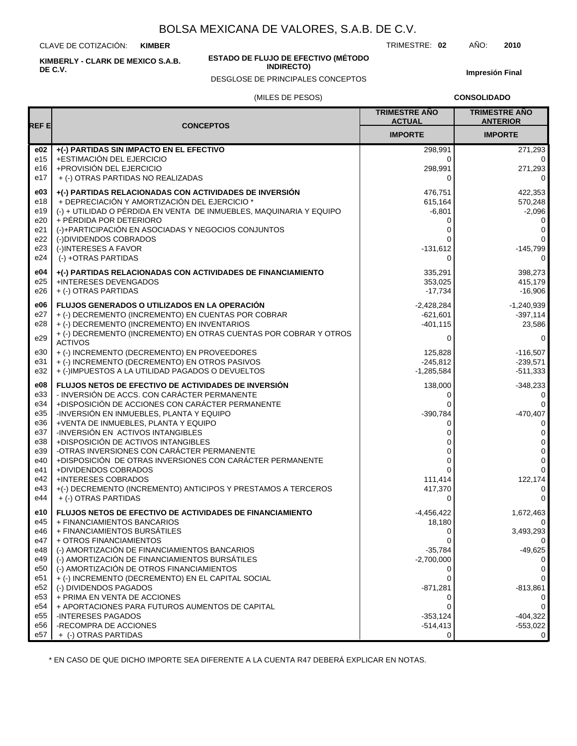CLAVE DE COTIZACIÓN: **KIMBER**

**KIMBERLY - CLARK DE MEXICO S.A.B. DE C.V.**

### **ESTADO DE FLUJO DE EFECTIVO (MÉTODO INDIRECTO)**

DESGLOSE DE PRINCIPALES CONCEPTOS

TRIMESTRE: **02** AÑO: **2010**

**Impresión Final**

### (MILES DE PESOS)

**CONSOLIDADO**

| REF E           |                                                                                                      | <b>TRIMESTRE ANO</b><br><b>ACTUAL</b> | <b>TRIMESTRE AÑO</b><br><b>ANTERIOR</b> |
|-----------------|------------------------------------------------------------------------------------------------------|---------------------------------------|-----------------------------------------|
|                 | <b>CONCEPTOS</b>                                                                                     | <b>IMPORTE</b>                        | <b>IMPORTE</b>                          |
| e02             | +(-) PARTIDAS SIN IMPACTO EN EL EFECTIVO                                                             | 298,991                               | 271,293                                 |
| e15             | +ESTIMACIÓN DEL EJERCICIO                                                                            | 0                                     | 0                                       |
| e16             | +PROVISIÓN DEL EJERCICIO                                                                             | 298,991                               | 271,293                                 |
| e17             | + (-) OTRAS PARTIDAS NO REALIZADAS                                                                   | $\Omega$                              | 0                                       |
| e03             | +(-) PARTIDAS RELACIONADAS CON ACTIVIDADES DE INVERSIÓN                                              | 476,751                               | 422,353                                 |
| e18             | + DEPRECIACIÓN Y AMORTIZACIÓN DEL EJERCICIO *                                                        | 615,164                               | 570,248                                 |
| e19             | (-) + UTILIDAD O PÉRDIDA EN VENTA DE INMUEBLES, MAQUINARIA Y EQUIPO                                  | $-6,801$                              | $-2,096$                                |
| e20             | + PÉRDIDA POR DETERIORO                                                                              | 0                                     | 0                                       |
| e21             | (-)+PARTICIPACIÓN EN ASOCIADAS Y NEGOCIOS CONJUNTOS                                                  | 0                                     | 0                                       |
| e22             | (-)DIVIDENDOS COBRADOS                                                                               | $\Omega$                              | 0                                       |
| e23             | (-)INTERESES A FAVOR                                                                                 | $-131,612$                            | $-145,799$                              |
| e24             | (-) +OTRAS PARTIDAS                                                                                  | 0                                     | 0                                       |
| e04             | +(-) PARTIDAS RELACIONADAS CON ACTIVIDADES DE FINANCIAMIENTO                                         | 335,291                               | 398,273                                 |
| e25             | +INTERESES DEVENGADOS                                                                                | 353,025                               | 415,179                                 |
| e26             | + (-) OTRAS PARTIDAS                                                                                 | $-17,734$                             | $-16,906$                               |
| e06             | <b>FLUJOS GENERADOS O UTILIZADOS EN LA OPERACIÓN</b>                                                 | $-2,428,284$                          | $-1,240,939$                            |
| e27             | + (-) DECREMENTO (INCREMENTO) EN CUENTAS POR COBRAR                                                  | $-621,601$                            | $-397,114$                              |
| e28             | + (-) DECREMENTO (INCREMENTO) EN INVENTARIOS                                                         | $-401, 115$                           | 23,586                                  |
| e29             | + (-) DECREMENTO (INCREMENTO) EN OTRAS CUENTAS POR COBRAR Y OTROS                                    | 0                                     | 0                                       |
| e30             | <b>ACTIVOS</b><br>+ (-) INCREMENTO (DECREMENTO) EN PROVEEDORES                                       | 125,828                               | $-116,507$                              |
| e31             | + (-) INCREMENTO (DECREMENTO) EN OTROS PASIVOS                                                       | $-245,812$                            | $-239,571$                              |
| e32             | + (-)IMPUESTOS A LA UTILIDAD PAGADOS O DEVUELTOS                                                     | $-1,285,584$                          | $-511,333$                              |
|                 |                                                                                                      |                                       |                                         |
| e08<br>e33      | FLUJOS NETOS DE EFECTIVO DE ACTIVIDADES DE INVERSIÓN<br>- INVERSIÓN DE ACCS. CON CARÁCTER PERMANENTE | 138,000                               | $-348,233$                              |
| e34             | +DISPOSICIÓN DE ACCIONES CON CARÁCTER PERMANENTE                                                     | 0<br>$\Omega$                         | 0<br>0                                  |
| e35             | -INVERSIÓN EN INMUEBLES, PLANTA Y EQUIPO                                                             | $-390,784$                            | $-470,407$                              |
| e36             | +VENTA DE INMUEBLES, PLANTA Y EQUIPO                                                                 | 0                                     | 0                                       |
| e37             | -INVERSIÓN EN ACTIVOS INTANGIBLES                                                                    | 0                                     | $\mathbf 0$                             |
| e38             | +DISPOSICIÓN DE ACTIVOS INTANGIBLES                                                                  | 0                                     | $\pmb{0}$                               |
| e39             | -OTRAS INVERSIONES CON CARÁCTER PERMANENTE                                                           | 0                                     | 0                                       |
| e40             | +DISPOSICIÓN DE OTRAS INVERSIONES CON CARÁCTER PERMANENTE                                            | $\Omega$                              | $\mathbf 0$                             |
| e41             | +DIVIDENDOS COBRADOS                                                                                 | 0                                     | $\mathbf 0$                             |
| e42             | <b>+INTERESES COBRADOS</b>                                                                           | 111,414                               | 122,174                                 |
| e43             | +(-) DECREMENTO (INCREMENTO) ANTICIPOS Y PRESTAMOS A TERCEROS                                        | 417,370                               | $\mathbf 0$                             |
| e44             | + (-) OTRAS PARTIDAS                                                                                 | 0                                     | $\mathbf 0$                             |
| e10             | <b>FLUJOS NETOS DE EFECTIVO DE ACTIVIDADES DE FINANCIAMIENTO</b>                                     | $-4,456,422$                          | 1,672,463                               |
| e45             | + FINANCIAMIENTOS BANCARIOS                                                                          | 18,180                                | 0                                       |
| e46             | + FINANCIAMIENTOS BURSÁTILES                                                                         | 0                                     | 3,493,293                               |
| e47             | + OTROS FINANCIAMIENTOS                                                                              | 0                                     | 0                                       |
| e48             | (-) AMORTIZACIÓN DE FINANCIAMIENTOS BANCARIOS                                                        | $-35,784$                             | $-49,625$                               |
| e49             | (-) AMORTIZACIÓN DE FINANCIAMIENTOS BURSÁTILES                                                       | $-2,700,000$                          | 0                                       |
| e50<br>e51      | (-) AMORTIZACIÓN DE OTROS FINANCIAMIENTOS<br>+ (-) INCREMENTO (DECREMENTO) EN EL CAPITAL SOCIAL      | 0<br>0                                | 0<br>0                                  |
| e52             | (-) DIVIDENDOS PAGADOS                                                                               | $-871,281$                            | $-813,861$                              |
| e <sub>53</sub> | + PRIMA EN VENTA DE ACCIONES                                                                         | 0                                     | 0                                       |
| e54             | + APORTACIONES PARA FUTUROS AUMENTOS DE CAPITAL                                                      | 0                                     | 0                                       |
| e55             | -INTERESES PAGADOS                                                                                   | $-353,124$                            | $-404,322$                              |
| e56             | -RECOMPRA DE ACCIONES                                                                                | $-514,413$                            | $-553,022$                              |
| e57             | + (-) OTRAS PARTIDAS                                                                                 | 0                                     | 0                                       |

\* EN CASO DE QUE DICHO IMPORTE SEA DIFERENTE A LA CUENTA R47 DEBERÁ EXPLICAR EN NOTAS.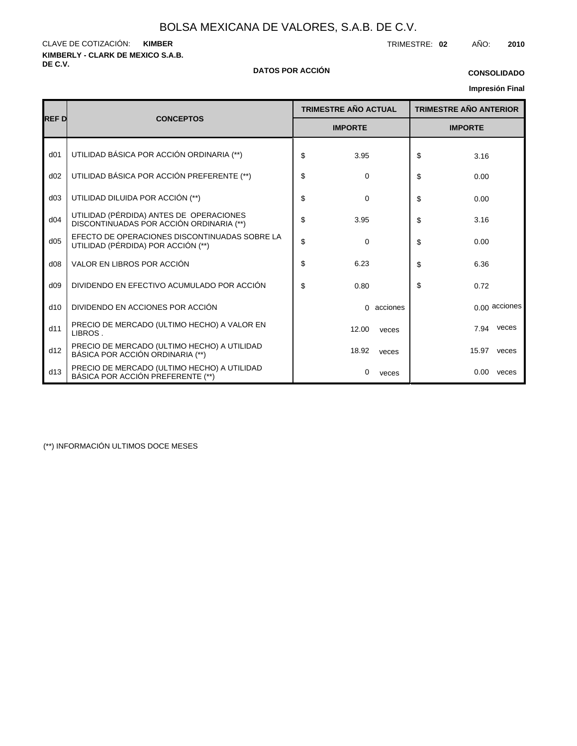**KIMBERLY - CLARK DE MEXICO S.A.B.** CLAVE DE COTIZACIÓN: TRIMESTRE: **02** AÑO: **2010 KIMBER**

### **DE C.V. DATOS POR ACCIÓN**

# **Impresión Final CONSOLIDADO**

|                 |                                                                                     | <b>TRIMESTRE AÑO ACTUAL</b> | <b>TRIMESTRE AÑO ANTERIOR</b> |       |               |  |
|-----------------|-------------------------------------------------------------------------------------|-----------------------------|-------------------------------|-------|---------------|--|
| <b>REF D</b>    | <b>CONCEPTOS</b>                                                                    | <b>IMPORTE</b>              | <b>IMPORTE</b>                |       |               |  |
| d <sub>01</sub> | UTILIDAD BÁSICA POR ACCIÓN ORDINARIA (**)                                           | \$<br>3.95                  | \$                            | 3.16  |               |  |
| d02             | UTILIDAD BÁSICA POR ACCIÓN PREFERENTE (**)                                          | \$<br>0                     | \$                            | 0.00  |               |  |
| d03             | UTILIDAD DILUIDA POR ACCIÓN (**)                                                    | \$<br>0                     | \$                            | 0.00  |               |  |
| d04             | UTILIDAD (PÉRDIDA) ANTES DE OPERACIONES<br>DISCONTINUADAS POR ACCIÓN ORDINARIA (**) | \$<br>3.95                  | \$                            | 3.16  |               |  |
| d05             | EFECTO DE OPERACIONES DISCONTINUADAS SOBRE LA<br>UTILIDAD (PÉRDIDA) POR ACCIÓN (**) | \$<br>$\Omega$              | \$                            | 0.00  |               |  |
| d08             | VALOR EN LIBROS POR ACCIÓN                                                          | \$<br>6.23                  | \$                            | 6.36  |               |  |
| d09             | DIVIDENDO EN EFECTIVO ACUMULADO POR ACCIÓN                                          | \$<br>0.80                  | \$                            | 0.72  |               |  |
| d10             | DIVIDENDO EN ACCIONES POR ACCIÓN                                                    | 0 acciones                  |                               |       | 0.00 acciones |  |
| d11             | PRECIO DE MERCADO (ULTIMO HECHO) A VALOR EN<br>LIBROS.                              | 12.00<br>veces              |                               | 7.94  | veces         |  |
| d12             | PRECIO DE MERCADO (ULTIMO HECHO) A UTILIDAD<br>BÁSICA POR ACCIÓN ORDINARIA (**)     | 18.92<br>veces              |                               | 15.97 | veces         |  |
| d13             | PRECIO DE MERCADO (ULTIMO HECHO) A UTILIDAD<br>BÁSICA POR ACCIÓN PREFERENTE (**)    | 0<br>veces                  |                               | 0.00  | veces         |  |

(\*\*) INFORMACIÓN ULTIMOS DOCE MESES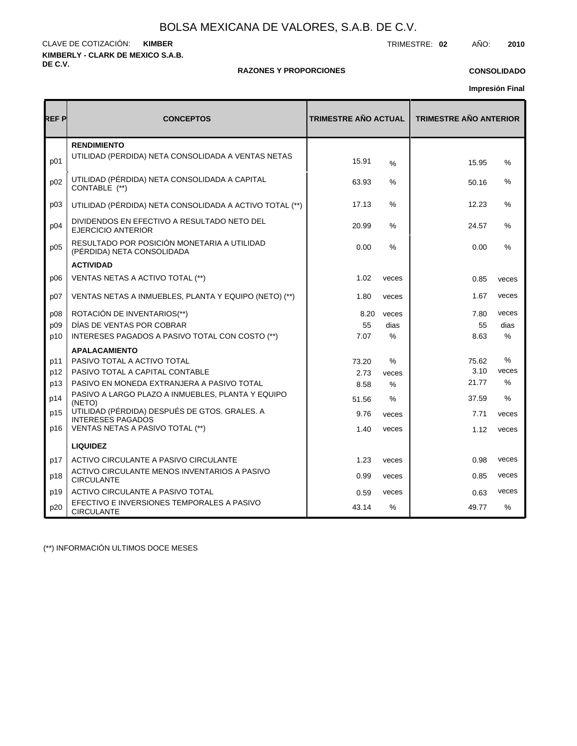**KIMBERLY - CLARK DE MEXICO S.A.B. DE C.V.** CLAVE DE COTIZACIÓN: TRIMESTRE: **02** AÑO: **2010 KIMBER**

## **RAZONES Y PROPORCIONES**

## **CONSOLIDADO**

**Impresión Final**

| REF P | <b>CONCEPTOS</b>                                                          | <b>TRIMESTRE AÑO ACTUAL</b> |               | <b>TRIMESTRE AÑO ANTERIOR</b> |               |  |  |
|-------|---------------------------------------------------------------------------|-----------------------------|---------------|-------------------------------|---------------|--|--|
| p01   | <b>RENDIMIENTO</b><br>UTILIDAD (PERDIDA) NETA CONSOLIDADA A VENTAS NETAS  | 15.91                       | $\frac{0}{0}$ | 15.95                         | %             |  |  |
| p02   | UTILIDAD (PÉRDIDA) NETA CONSOLIDADA A CAPITAL<br>CONTABLE (**)            | 63.93                       | ℅             | 50.16                         | %             |  |  |
| p03   | UTILIDAD (PÉRDIDA) NETA CONSOLIDADA A ACTIVO TOTAL (**)                   | 17.13                       | $\%$          | 12.23                         | %             |  |  |
| p04   | DIVIDENDOS EN EFECTIVO A RESULTADO NETO DEL<br><b>EJERCICIO ANTERIOR</b>  | 20.99                       | $\%$          | 24.57                         | %             |  |  |
| p05   | RESULTADO POR POSICIÓN MONETARIA A UTILIDAD<br>(PÉRDIDA) NETA CONSOLIDADA | 0.00                        | $\%$          | 0.00                          | %             |  |  |
|       | <b>ACTIVIDAD</b>                                                          |                             |               |                               |               |  |  |
| D06   | VENTAS NETAS A ACTIVO TOTAL (**)                                          | 1.02                        | veces         | 0.85                          | veces         |  |  |
| p07   | VENTAS NETAS A INMUEBLES, PLANTA Y EQUIPO (NETO) (**)                     | 1.80                        | veces         | 1.67                          | veces         |  |  |
| p08   | ROTACIÓN DE INVENTARIOS(**)                                               | 8.20                        | veces         | 7.80                          | veces         |  |  |
| p09   | DÍAS DE VENTAS POR COBRAR                                                 | 55                          | dias          | 55                            | dias          |  |  |
| p10   | INTERESES PAGADOS A PASIVO TOTAL CON COSTO (**)                           | 7.07                        | $\%$          | 8.63                          | $\%$          |  |  |
|       | <b>APALACAMIENTO</b>                                                      |                             |               |                               |               |  |  |
| p11   | PASIVO TOTAL A ACTIVO TOTAL                                               | 73.20                       | %             | 75.62                         | %             |  |  |
| p12   | PASIVO TOTAL A CAPITAL CONTABLE                                           | 2.73                        | veces         | 3.10                          | veces         |  |  |
| p13   | PASIVO EN MONEDA EXTRANJERA A PASIVO TOTAL                                | 8.58                        | $\%$          | 21.77                         | $\frac{0}{0}$ |  |  |
| p14   | PASIVO A LARGO PLAZO A INMUEBLES, PLANTA Y EQUIPO<br>(NETO)               | 51.56                       | %             | 37.59                         | %             |  |  |
| p15   | UTILIDAD (PÉRDIDA) DESPUÉS DE GTOS. GRALES. A<br><b>INTERESES PAGADOS</b> | 9.76                        | veces         | 7.71                          | veces         |  |  |
| p16   | VENTAS NETAS A PASIVO TOTAL (**)                                          | 1.40                        | veces         | 1.12                          | veces         |  |  |
|       | <b>LIQUIDEZ</b>                                                           |                             |               |                               |               |  |  |
| p17   | ACTIVO CIRCULANTE A PASIVO CIRCULANTE                                     | 1.23                        | veces         | 0.98                          | veces         |  |  |
| p18   | ACTIVO CIRCULANTE MENOS INVENTARIOS A PASIVO<br><b>CIRCULANTE</b>         | 0.99                        | veces         | 0.85                          | veces         |  |  |
| p19   | ACTIVO CIRCULANTE A PASIVO TOTAL                                          | 0.59                        | veces         | 0.63                          | veces         |  |  |
| p20   | EFECTIVO E INVERSIONES TEMPORALES A PASIVO<br><b>CIRCULANTE</b>           | 43.14                       | $\%$          | 49.77                         | $\%$          |  |  |

(\*\*) INFORMACIÓN ULTIMOS DOCE MESES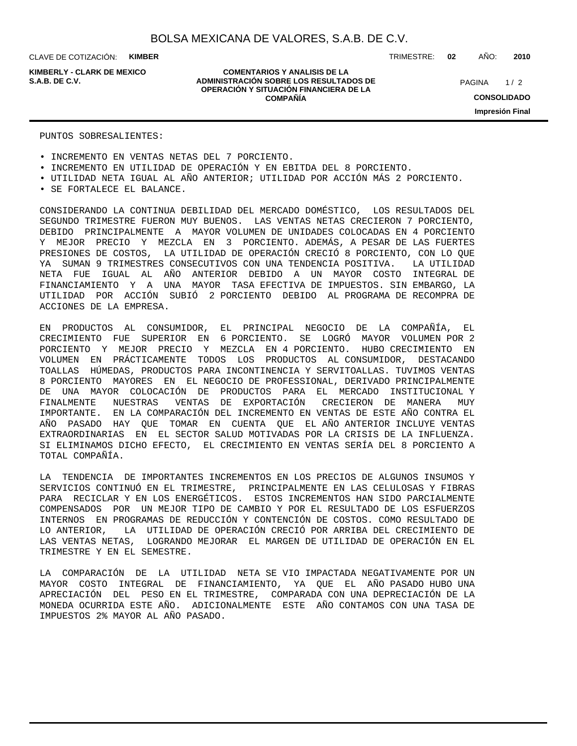CLAVE DE COTIZACIÓN: **KIMBER**

**KIMBERLY - CLARK DE MEXICO**

### **COMENTARIOS Y ANALISIS DE LA ADMINISTRACIÓN SOBRE LOS RESULTADOS DE S.A.B. DE C.V.** PAGINA / 2 **OPERACIÓN Y SITUACIÓN FINANCIERA DE LA COMPAÑÍA**

TRIMESTRE: **02** AÑO: **2010**

 $1/2$ **CONSOLIDADO Impresión Final**

### PUNTOS SOBRESALIENTES:

• INCREMENTO EN VENTAS NETAS DEL 7 PORCIENTO.

- INCREMENTO EN UTILIDAD DE OPERACIÓN Y EN EBITDA DEL 8 PORCIENTO.
- UTILIDAD NETA IGUAL AL AÑO ANTERIOR; UTILIDAD POR ACCIÓN MÁS 2 PORCIENTO.
- SE FORTALECE EL BALANCE.

CONSIDERANDO LA CONTINUA DEBILIDAD DEL MERCADO DOMÉSTICO, LOS RESULTADOS DEL SEGUNDO TRIMESTRE FUERON MUY BUENOS. LAS VENTAS NETAS CRECIERON 7 PORCIENTO, DEBIDO PRINCIPALMENTE A MAYOR VOLUMEN DE UNIDADES COLOCADAS EN 4 PORCIENTO Y MEJOR PRECIO Y MEZCLA EN 3 PORCIENTO. ADEMÁS, A PESAR DE LAS FUERTES PRESIONES DE COSTOS, LA UTILIDAD DE OPERACIÓN CRECIÓ 8 PORCIENTO, CON LO QUE YA SUMAN 9 TRIMESTRES CONSECUTIVOS CON UNA TENDENCIA POSITIVA. LA UTILIDAD NETA FUE IGUAL AL AÑO ANTERIOR DEBIDO A UN MAYOR COSTO INTEGRAL DE FINANCIAMIENTO Y A UNA MAYOR TASA EFECTIVA DE IMPUESTOS. SIN EMBARGO, LA UTILIDAD POR ACCIÓN SUBIÓ 2 PORCIENTO DEBIDO AL PROGRAMA DE RECOMPRA DE ACCIONES DE LA EMPRESA.

EN PRODUCTOS AL CONSUMIDOR, EL PRINCIPAL NEGOCIO DE LA COMPAÑÍA, EL CRECIMIENTO FUE SUPERIOR EN 6 PORCIENTO. SE LOGRÓ MAYOR VOLUMEN POR 2 PORCIENTO Y MEJOR PRECIO Y MEZCLA EN 4 PORCIENTO. HUBO CRECIMIENTO EN VOLUMEN EN PRÁCTICAMENTE TODOS LOS PRODUCTOS AL CONSUMIDOR, DESTACANDO TOALLAS HÚMEDAS, PRODUCTOS PARA INCONTINENCIA Y SERVITOALLAS. TUVIMOS VENTAS 8 PORCIENTO MAYORES EN EL NEGOCIO DE PROFESSIONAL, DERIVADO PRINCIPALMENTE DE UNA MAYOR COLOCACIÓN DE PRODUCTOS PARA EL MERCADO INSTITUCIONAL Y FINALMENTE NUESTRAS VENTAS DE EXPORTACIÓN CRECIERON DE MANERA MUY IMPORTANTE. EN LA COMPARACIÓN DEL INCREMENTO EN VENTAS DE ESTE AÑO CONTRA EL AÑO PASADO HAY QUE TOMAR EN CUENTA QUE EL AÑO ANTERIOR INCLUYE VENTAS EXTRAORDINARIAS EN EL SECTOR SALUD MOTIVADAS POR LA CRISIS DE LA INFLUENZA. SI ELIMINAMOS DICHO EFECTO, EL CRECIMIENTO EN VENTAS SERÍA DEL 8 PORCIENTO A TOTAL COMPAÑÍA.

LA TENDENCIA DE IMPORTANTES INCREMENTOS EN LOS PRECIOS DE ALGUNOS INSUMOS Y SERVICIOS CONTINUÓ EN EL TRIMESTRE, PRINCIPALMENTE EN LAS CELULOSAS Y FIBRAS PARA RECICLAR Y EN LOS ENERGÉTICOS. ESTOS INCREMENTOS HAN SIDO PARCIALMENTE COMPENSADOS POR UN MEJOR TIPO DE CAMBIO Y POR EL RESULTADO DE LOS ESFUERZOS INTERNOS EN PROGRAMAS DE REDUCCIÓN Y CONTENCIÓN DE COSTOS. COMO RESULTADO DE LO ANTERIOR, LA UTILIDAD DE OPERACIÓN CRECIÓ POR ARRIBA DEL CRECIMIENTO DE LAS VENTAS NETAS, LOGRANDO MEJORAR EL MARGEN DE UTILIDAD DE OPERACIÓN EN EL TRIMESTRE Y EN EL SEMESTRE.

LA COMPARACIÓN DE LA UTILIDAD NETA SE VIO IMPACTADA NEGATIVAMENTE POR UN MAYOR COSTO INTEGRAL DE FINANCIAMIENTO, YA QUE EL AÑO PASADO HUBO UNA APRECIACIÓN DEL PESO EN EL TRIMESTRE, COMPARADA CON UNA DEPRECIACIÓN DE LA MONEDA OCURRIDA ESTE AÑO. ADICIONALMENTE ESTE AÑO CONTAMOS CON UNA TASA DE IMPUESTOS 2% MAYOR AL AÑO PASADO.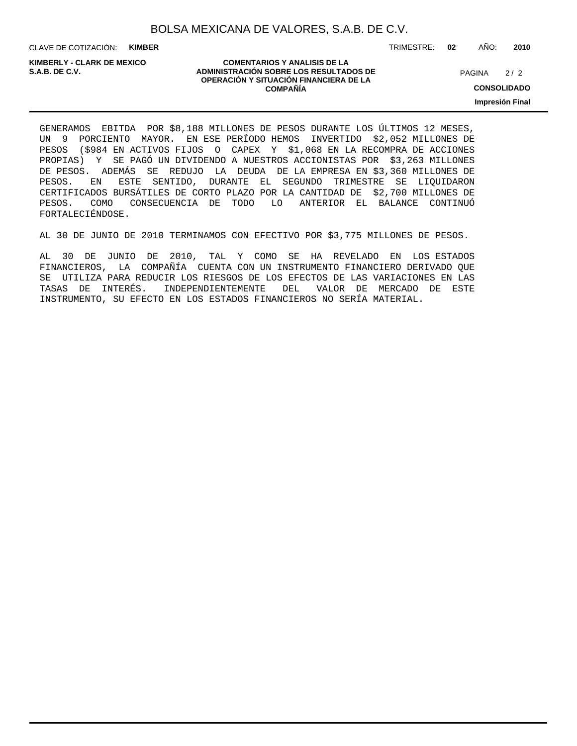CLAVE DE COTIZACIÓN: **KIMBER**

**KIMBERLY - CLARK DE MEXICO**

### **COMENTARIOS Y ANALISIS DE LA ADMINISTRACIÓN SOBRE LOS RESULTADOS DE PAGINA 2/2 ADMINISTRACIÓN SOBRE LOS RESULTADOS DE** PAGINA 2/2 **OPERACIÓN Y SITUACIÓN FINANCIERA DE LA COMPAÑÍA**

 $2/2$ 

**CONSOLIDADO**

**Impresión Final**

GENERAMOS EBITDA POR \$8,188 MILLONES DE PESOS DURANTE LOS ÚLTIMOS 12 MESES, UN 9 PORCIENTO MAYOR. EN ESE PERÍODO HEMOS INVERTIDO \$2,052 MILLONES DE PESOS (\$984 EN ACTIVOS FIJOS O CAPEX Y \$1,068 EN LA RECOMPRA DE ACCIONES PROPIAS) Y SE PAGÓ UN DIVIDENDO A NUESTROS ACCIONISTAS POR \$3,263 MILLONES DE PESOS. ADEMÁS SE REDUJO LA DEUDA DE LA EMPRESA EN \$3,360 MILLONES DE PESOS. EN ESTE SENTIDO, DURANTE EL SEGUNDO TRIMESTRE SE LIQUIDARON CERTIFICADOS BURSÁTILES DE CORTO PLAZO POR LA CANTIDAD DE \$2,700 MILLONES DE PESOS. COMO CONSECUENCIA DE TODO LO ANTERIOR EL BALANCE CONTINUÓ FORTALECIÉNDOSE.

AL 30 DE JUNIO DE 2010 TERMINAMOS CON EFECTIVO POR \$3,775 MILLONES DE PESOS.

AL 30 DE JUNIO DE 2010, TAL Y COMO SE HA REVELADO EN LOS ESTADOS FINANCIEROS, LA COMPAÑÍA CUENTA CON UN INSTRUMENTO FINANCIERO DERIVADO QUE SE UTILIZA PARA REDUCIR LOS RIESGOS DE LOS EFECTOS DE LAS VARIACIONES EN LAS TASAS DE INTERÉS. INDEPENDIENTEMENTE DEL VALOR DE MERCADO DE ESTE INSTRUMENTO, SU EFECTO EN LOS ESTADOS FINANCIEROS NO SERÍA MATERIAL.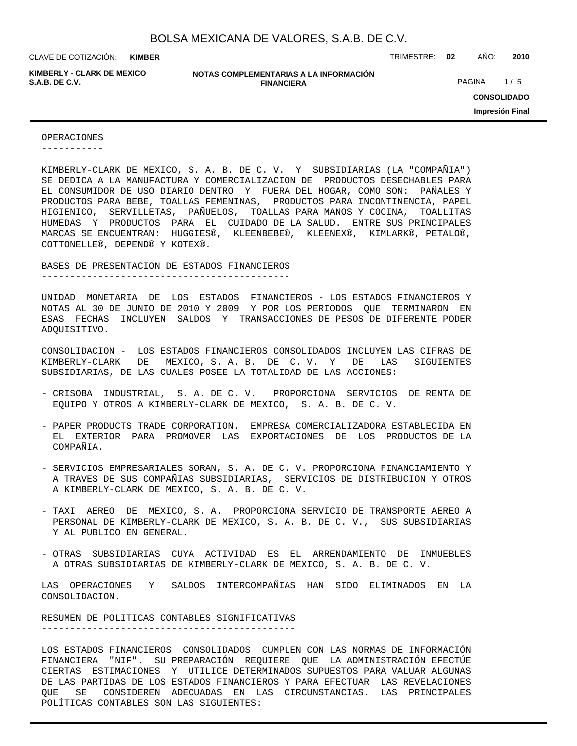**KIMBER**

**KIMBERLY - CLARK DE MEXICO**

**NOTAS COMPLEMENTARIAS A LA INFORMACIÓN FINANCIERA S.A.B. DE C.V.** PAGINA 1/5

CLAVE DE COTIZACIÓN: TRIMESTRE: **02** AÑO: **2010**

**CONSOLIDADO Impresión Final**

### OPERACIONES

-----------

KIMBERLY-CLARK DE MEXICO, S. A. B. DE C. V. Y SUBSIDIARIAS (LA "COMPAÑIA") SE DEDICA A LA MANUFACTURA Y COMERCIALIZACION DE PRODUCTOS DESECHABLES PARA EL CONSUMIDOR DE USO DIARIO DENTRO Y FUERA DEL HOGAR, COMO SON: PAÑALES Y PRODUCTOS PARA BEBE, TOALLAS FEMENINAS, PRODUCTOS PARA INCONTINENCIA, PAPEL HIGIENICO, SERVILLETAS, PAÑUELOS, TOALLAS PARA MANOS Y COCINA, TOALLITAS HUMEDAS Y PRODUCTOS PARA EL CUIDADO DE LA SALUD. ENTRE SUS PRINCIPALES MARCAS SE ENCUENTRAN: HUGGIES®, KLEENBEBE®, KLEENEX®, KIMLARK®, PETALO®, COTTONELLE®, DEPEND® Y KOTEX®.

BASES DE PRESENTACION DE ESTADOS FINANCIEROS

--------------------------------------------

UNIDAD MONETARIA DE LOS ESTADOS FINANCIEROS - LOS ESTADOS FINANCIEROS Y NOTAS AL 30 DE JUNIO DE 2010 Y 2009 Y POR LOS PERIODOS QUE TERMINARON EN ESAS FECHAS INCLUYEN SALDOS Y TRANSACCIONES DE PESOS DE DIFERENTE PODER ADQUISITIVO.

CONSOLIDACION - LOS ESTADOS FINANCIEROS CONSOLIDADOS INCLUYEN LAS CIFRAS DE KIMBERLY-CLARK DE MEXICO, S. A. B. DE C. V. Y DE LAS SIGUIENTES SUBSIDIARIAS, DE LAS CUALES POSEE LA TOTALIDAD DE LAS ACCIONES:

- CRISOBA INDUSTRIAL, S. A. DE C. V. PROPORCIONA SERVICIOS DE RENTA DE EQUIPO Y OTROS A KIMBERLY-CLARK DE MEXICO, S. A. B. DE C. V.
- PAPER PRODUCTS TRADE CORPORATION. EMPRESA COMERCIALIZADORA ESTABLECIDA EN EL EXTERIOR PARA PROMOVER LAS EXPORTACIONES DE LOS PRODUCTOS DE LA COMPAÑIA.
- SERVICIOS EMPRESARIALES SORAN, S. A. DE C. V. PROPORCIONA FINANCIAMIENTO Y A TRAVES DE SUS COMPAÑIAS SUBSIDIARIAS, SERVICIOS DE DISTRIBUCION Y OTROS A KIMBERLY-CLARK DE MEXICO, S. A. B. DE C. V.
- TAXI AEREO DE MEXICO, S. A. PROPORCIONA SERVICIO DE TRANSPORTE AEREO A PERSONAL DE KIMBERLY-CLARK DE MEXICO, S. A. B. DE C. V., SUS SUBSIDIARIAS Y AL PUBLICO EN GENERAL.
- OTRAS SUBSIDIARIAS CUYA ACTIVIDAD ES EL ARRENDAMIENTO DE INMUEBLES A OTRAS SUBSIDIARIAS DE KIMBERLY-CLARK DE MEXICO, S. A. B. DE C. V.

LAS OPERACIONES Y SALDOS INTERCOMPAÑIAS HAN SIDO ELIMINADOS EN LA CONSOLIDACION.

RESUMEN DE POLITICAS CONTABLES SIGNIFICATIVAS ---------------------------------------------

LOS ESTADOS FINANCIEROS CONSOLIDADOS CUMPLEN CON LAS NORMAS DE INFORMACIÓN FINANCIERA "NIF". SU PREPARACIÓN REQUIERE QUE LA ADMINISTRACIÓN EFECTÚE CIERTAS ESTIMACIONES Y UTILICE DETERMINADOS SUPUESTOS PARA VALUAR ALGUNAS DE LAS PARTIDAS DE LOS ESTADOS FINANCIEROS Y PARA EFECTUAR LAS REVELACIONES QUE SE CONSIDEREN ADECUADAS EN LAS CIRCUNSTANCIAS. LAS PRINCIPALES POLÍTICAS CONTABLES SON LAS SIGUIENTES: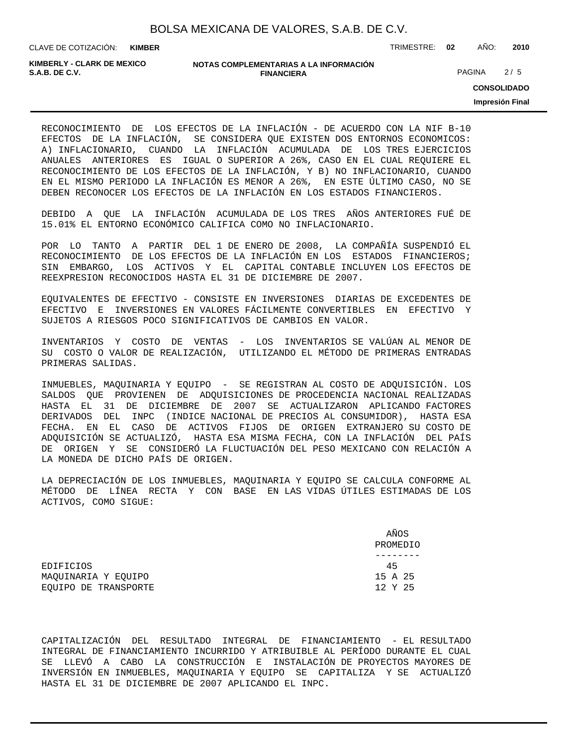**KIMBER**

CLAVE DE COTIZACIÓN: TRIMESTRE: **02** AÑO: **2010**

**KIMBERLY - CLARK DE MEXICO**

### **NOTAS COMPLEMENTARIAS A LA INFORMACIÓN FINANCIERA S.A.B. DE C.V.** PAGINA 2 / 5

**CONSOLIDADO**

**Impresión Final**

RECONOCIMIENTO DE LOS EFECTOS DE LA INFLACIÓN - DE ACUERDO CON LA NIF B-10 EFECTOS DE LA INFLACIÓN, SE CONSIDERA QUE EXISTEN DOS ENTORNOS ECONOMICOS: A) INFLACIONARIO, CUANDO LA INFLACIÓN ACUMULADA DE LOS TRES EJERCICIOS ANUALES ANTERIORES ES IGUAL O SUPERIOR A 26%, CASO EN EL CUAL REQUIERE EL RECONOCIMIENTO DE LOS EFECTOS DE LA INFLACIÓN, Y B) NO INFLACIONARIO, CUANDO EN EL MISMO PERIODO LA INFLACIÓN ES MENOR A 26%, EN ESTE ÚLTIMO CASO, NO SE DEBEN RECONOCER LOS EFECTOS DE LA INFLACIÓN EN LOS ESTADOS FINANCIEROS.

DEBIDO A QUE LA INFLACIÓN ACUMULADA DE LOS TRES AÑOS ANTERIORES FUÉ DE 15.01% EL ENTORNO ECONÓMICO CALIFICA COMO NO INFLACIONARIO.

POR LO TANTO A PARTIR DEL 1 DE ENERO DE 2008, LA COMPAÑÍA SUSPENDIÓ EL RECONOCIMIENTO DE LOS EFECTOS DE LA INFLACIÓN EN LOS ESTADOS FINANCIEROS; SIN EMBARGO, LOS ACTIVOS Y EL CAPITAL CONTABLE INCLUYEN LOS EFECTOS DE REEXPRESION RECONOCIDOS HASTA EL 31 DE DICIEMBRE DE 2007.

EQUIVALENTES DE EFECTIVO - CONSISTE EN INVERSIONES DIARIAS DE EXCEDENTES DE EFECTIVO E INVERSIONES EN VALORES FÁCILMENTE CONVERTIBLES EN EFECTIVO Y SUJETOS A RIESGOS POCO SIGNIFICATIVOS DE CAMBIOS EN VALOR.

INVENTARIOS Y COSTO DE VENTAS - LOS INVENTARIOS SE VALÚAN AL MENOR DE SU COSTO O VALOR DE REALIZACIÓN, UTILIZANDO EL MÉTODO DE PRIMERAS ENTRADAS PRIMERAS SALIDAS.

INMUEBLES, MAQUINARIA Y EQUIPO - SE REGISTRAN AL COSTO DE ADQUISICIÓN. LOS SALDOS QUE PROVIENEN DE ADQUISICIONES DE PROCEDENCIA NACIONAL REALIZADAS HASTA EL 31 DE DICIEMBRE DE 2007 SE ACTUALIZARON APLICANDO FACTORES DERIVADOS DEL INPC (INDICE NACIONAL DE PRECIOS AL CONSUMIDOR), HASTA ESA FECHA. EN EL CASO DE ACTIVOS FIJOS DE ORIGEN EXTRANJERO SU COSTO DE ADQUISICIÓN SE ACTUALIZÓ, HASTA ESA MISMA FECHA, CON LA INFLACIÓN DEL PAÍS DE ORIGEN Y SE CONSIDERÓ LA FLUCTUACIÓN DEL PESO MEXICANO CON RELACIÓN A LA MONEDA DE DICHO PAÍS DE ORIGEN.

LA DEPRECIACIÓN DE LOS INMUEBLES, MAQUINARIA Y EQUIPO SE CALCULA CONFORME AL MÉTODO DE LÍNEA RECTA Y CON BASE EN LAS VIDAS ÚTILES ESTIMADAS DE LOS ACTIVOS, COMO SIGUE:

|                      | AÑOS<br>PROMEDIO |
|----------------------|------------------|
|                      |                  |
| EDIFICIOS            | 45               |
| MAOUINARIA Y EOUIPO  | 15 A 25          |
| EOUIPO DE TRANSPORTE | 12 Y 25          |

CAPITALIZACIÓN DEL RESULTADO INTEGRAL DE FINANCIAMIENTO - EL RESULTADO INTEGRAL DE FINANCIAMIENTO INCURRIDO Y ATRIBUIBLE AL PERÍODO DURANTE EL CUAL SE LLEVÓ A CABO LA CONSTRUCCIÓN E INSTALACIÓN DE PROYECTOS MAYORES DE INVERSIÓN EN INMUEBLES, MAQUINARIA Y EQUIPO SE CAPITALIZA Y SE ACTUALIZÓ HASTA EL 31 DE DICIEMBRE DE 2007 APLICANDO EL INPC.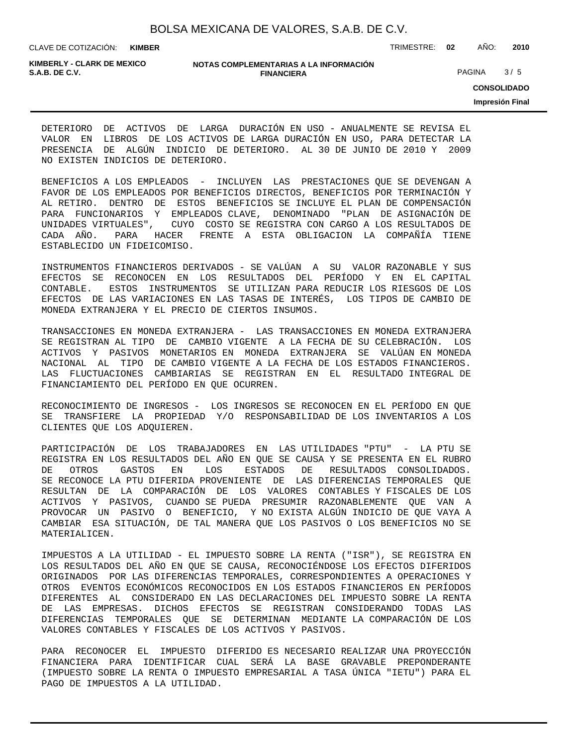CLAVE DE COTIZACIÓN: TRIMESTRE: **02** AÑO: **2010 KIMBER**

**KIMBERLY - CLARK DE MEXICO**

### **NOTAS COMPLEMENTARIAS A LA INFORMACIÓN FINANCIERA S.A.B. DE C.V.** PAGINA 3 / 5

**CONSOLIDADO**

**Impresión Final**

DETERIORO DE ACTIVOS DE LARGA DURACIÓN EN USO - ANUALMENTE SE REVISA EL VALOR EN LIBROS DE LOS ACTIVOS DE LARGA DURACIÓN EN USO, PARA DETECTAR LA PRESENCIA DE ALGÚN INDICIO DE DETERIORO. AL 30 DE JUNIO DE 2010 Y 2009 NO EXISTEN INDICIOS DE DETERIORO.

BENEFICIOS A LOS EMPLEADOS - INCLUYEN LAS PRESTACIONES QUE SE DEVENGAN A FAVOR DE LOS EMPLEADOS POR BENEFICIOS DIRECTOS, BENEFICIOS POR TERMINACIÓN Y AL RETIRO. DENTRO DE ESTOS BENEFICIOS SE INCLUYE EL PLAN DE COMPENSACIÓN PARA FUNCIONARIOS Y EMPLEADOS CLAVE, DENOMINADO "PLAN DE ASIGNACIÓN DE UNIDADES VIRTUALES", CUYO COSTO SE REGISTRA CON CARGO A LOS RESULTADOS DE CADA AÑO. PARA HACER FRENTE A ESTA OBLIGACION LA COMPAÑÍA TIENE ESTABLECIDO UN FIDEICOMISO.

INSTRUMENTOS FINANCIEROS DERIVADOS - SE VALÚAN A SU VALOR RAZONABLE Y SUS EFECTOS SE RECONOCEN EN LOS RESULTADOS DEL PERÍODO Y EN EL CAPITAL CONTABLE. ESTOS INSTRUMENTOS SE UTILIZAN PARA REDUCIR LOS RIESGOS DE LOS EFECTOS DE LAS VARIACIONES EN LAS TASAS DE INTERÉS, LOS TIPOS DE CAMBIO DE MONEDA EXTRANJERA Y EL PRECIO DE CIERTOS INSUMOS.

TRANSACCIONES EN MONEDA EXTRANJERA - LAS TRANSACCIONES EN MONEDA EXTRANJERA SE REGISTRAN AL TIPO DE CAMBIO VIGENTE A LA FECHA DE SU CELEBRACIÓN. LOS ACTIVOS Y PASIVOS MONETARIOS EN MONEDA EXTRANJERA SE VALÚAN EN MONEDA NACIONAL AL TIPO DE CAMBIO VIGENTE A LA FECHA DE LOS ESTADOS FINANCIEROS. LAS FLUCTUACIONES CAMBIARIAS SE REGISTRAN EN EL RESULTADO INTEGRAL DE FINANCIAMIENTO DEL PERÍODO EN QUE OCURREN.

RECONOCIMIENTO DE INGRESOS - LOS INGRESOS SE RECONOCEN EN EL PERÍODO EN QUE SE TRANSFIERE LA PROPIEDAD Y/O RESPONSABILIDAD DE LOS INVENTARIOS A LOS CLIENTES QUE LOS ADQUIEREN.

PARTICIPACIÓN DE LOS TRABAJADORES EN LAS UTILIDADES "PTU" - LA PTU SE REGISTRA EN LOS RESULTADOS DEL AÑO EN QUE SE CAUSA Y SE PRESENTA EN EL RUBRO DE OTROS GASTOS EN LOS ESTADOS DE RESULTADOS CONSOLIDADOS. SE RECONOCE LA PTU DIFERIDA PROVENIENTE DE LAS DIFERENCIAS TEMPORALES QUE RESULTAN DE LA COMPARACIÓN DE LOS VALORES CONTABLES Y FISCALES DE LOS ACTIVOS Y PASIVOS, CUANDO SE PUEDA PRESUMIR RAZONABLEMENTE QUE VAN A PROVOCAR UN PASIVO O BENEFICIO, Y NO EXISTA ALGÚN INDICIO DE QUE VAYA A CAMBIAR ESA SITUACIÓN, DE TAL MANERA QUE LOS PASIVOS O LOS BENEFICIOS NO SE MATERIALICEN.

IMPUESTOS A LA UTILIDAD - EL IMPUESTO SOBRE LA RENTA ("ISR"), SE REGISTRA EN LOS RESULTADOS DEL AÑO EN QUE SE CAUSA, RECONOCIÉNDOSE LOS EFECTOS DIFERIDOS ORIGINADOS POR LAS DIFERENCIAS TEMPORALES, CORRESPONDIENTES A OPERACIONES Y OTROS EVENTOS ECONÓMICOS RECONOCIDOS EN LOS ESTADOS FINANCIEROS EN PERÍODOS DIFERENTES AL CONSIDERADO EN LAS DECLARACIONES DEL IMPUESTO SOBRE LA RENTA DE LAS EMPRESAS. DICHOS EFECTOS SE REGISTRAN CONSIDERANDO TODAS LAS DIFERENCIAS TEMPORALES QUE SE DETERMINAN MEDIANTE LA COMPARACIÓN DE LOS VALORES CONTABLES Y FISCALES DE LOS ACTIVOS Y PASIVOS.

PARA RECONOCER EL IMPUESTO DIFERIDO ES NECESARIO REALIZAR UNA PROYECCIÓN FINANCIERA PARA IDENTIFICAR CUAL SERÁ LA BASE GRAVABLE PREPONDERANTE (IMPUESTO SOBRE LA RENTA O IMPUESTO EMPRESARIAL A TASA ÚNICA "IETU") PARA EL PAGO DE IMPUESTOS A LA UTILIDAD.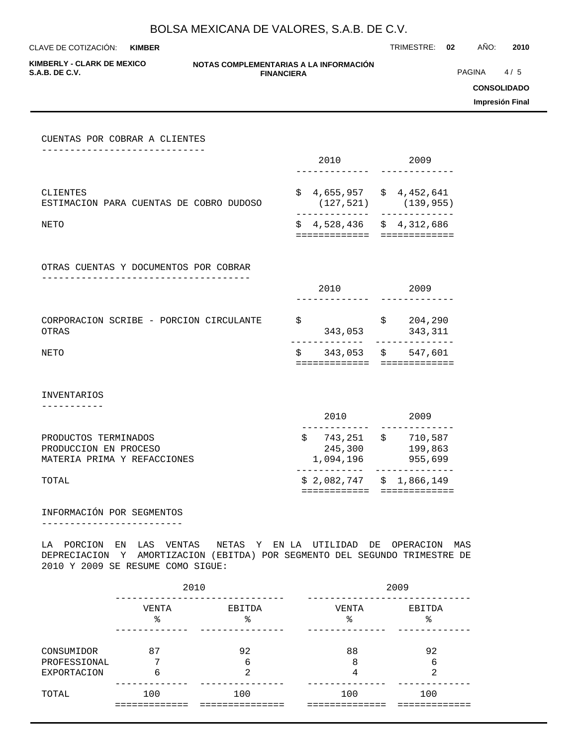**KIMBER**

CLAVE DE COTIZACIÓN: TRIMESTRE: **02** AÑO: **2010**

**KIMBERLY - CLARK DE MEXICO**

### **NOTAS COMPLEMENTARIAS A LA INFORMACIÓN FINANCIERA S.A.B. DE C.V.** PAGINA 4 / 5

**CONSOLIDADO**

**Impresión Final**

| CUENTAS POR COBRAR A CLIENTES                                                |                                                      |                                                        |
|------------------------------------------------------------------------------|------------------------------------------------------|--------------------------------------------------------|
|                                                                              | 2010                                                 | 2009 2009                                              |
| CLIENTES<br>ESTIMACION PARA CUENTAS DE COBRO DUDOSO                          |                                                      | $$4,655,957$ $$4,452,641$<br>$(127, 521)$ $(139, 955)$ |
| NETO                                                                         | . <u>.</u><br>============                           | $$4,528,436$ $$4,312,686$                              |
|                                                                              |                                                      |                                                        |
| OTRAS CUENTAS Y DOCUMENTOS POR COBRAR                                        |                                                      |                                                        |
|                                                                              | 2010                                                 | 2009                                                   |
| CORPORACION SCRIBE - PORCION CIRCULANTE<br><b>OTRAS</b>                      | \$                                                   | $$204,290$<br>343,053<br>343,311                       |
| NETO                                                                         | . <u>.</u><br>$$343,053$ $$547,601$<br>============= | =============                                          |
|                                                                              |                                                      |                                                        |
| <b>INVENTARIOS</b>                                                           |                                                      |                                                        |
|                                                                              | 2010                                                 | 2009                                                   |
| PRODUCTOS TERMINADOS<br>PRODUCCION EN PROCESO<br>MATERIA PRIMA Y REFACCIONES | 245,300<br>1,094,196                                 | $$743,251$ $$710,587$<br>199,863<br>955,699            |
| TOTAL                                                                        | ============                                         | $$2,082,747 \t $1,866,149$<br>=============            |
|                                                                              |                                                      |                                                        |

## INFORMACIÓN POR SEGMENTOS

-------------------------

LA PORCION EN LAS VENTAS NETAS Y EN LA UTILIDAD DE OPERACION MAS DEPRECIACION Y AMORTIZACION (EBITDA) POR SEGMENTO DEL SEGUNDO TRIMESTRE DE 2010 Y 2009 SE RESUME COMO SIGUE:

|                            | 2010       |              | 2009        |              |  |  |  |  |
|----------------------------|------------|--------------|-------------|--------------|--|--|--|--|
|                            | VENTA<br>ి | EBITDA<br>ిన | VENTA<br>٩, | EBITDA<br>ిన |  |  |  |  |
| CONSUMIDOR<br>PROFESSIONAL | 87<br>ヮ    | 92<br>6      | 88<br>8     | 92<br>6      |  |  |  |  |
| <b>EXPORTACION</b>         | 6          | 2            | 4           | 2            |  |  |  |  |
| TOTAL                      | 100        | 100          | 100         | 100          |  |  |  |  |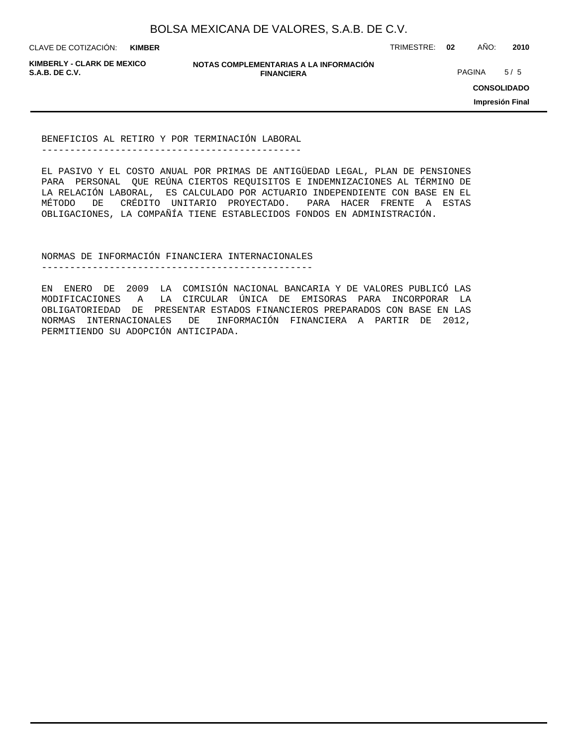**KIMBER**

CLAVE DE COTIZACIÓN: TRIMESTRE: **02** AÑO: **2010**

**KIMBERLY - CLARK DE MEXICO**

**NOTAS COMPLEMENTARIAS A LA INFORMACIÓN FINANCIERA S.A.B. DE C.V.** PAGINA 5 / 5

**CONSOLIDADO**

**Impresión Final**

BENEFICIOS AL RETIRO Y POR TERMINACIÓN LABORAL ----------------------------------------------

EL PASIVO Y EL COSTO ANUAL POR PRIMAS DE ANTIGÜEDAD LEGAL, PLAN DE PENSIONES PARA PERSONAL QUE REÚNA CIERTOS REQUISITOS E INDEMNIZACIONES AL TÉRMINO DE LA RELACIÓN LABORAL, ES CALCULADO POR ACTUARIO INDEPENDIENTE CON BASE EN EL MÉTODO DE CRÉDITO UNITARIO PROYECTADO. PARA HACER FRENTE A ESTAS OBLIGACIONES, LA COMPAÑÍA TIENE ESTABLECIDOS FONDOS EN ADMINISTRACIÓN.

NORMAS DE INFORMACIÓN FINANCIERA INTERNACIONALES

------------------------------------------------

EN ENERO DE 2009 LA COMISIÓN NACIONAL BANCARIA Y DE VALORES PUBLICÓ LAS MODIFICACIONES A LA CIRCULAR ÚNICA DE EMISORAS PARA INCORPORAR LA OBLIGATORIEDAD DE PRESENTAR ESTADOS FINANCIEROS PREPARADOS CON BASE EN LAS NORMAS INTERNACIONALES DE INFORMACIÓN FINANCIERA A PARTIR DE 2012, PERMITIENDO SU ADOPCIÓN ANTICIPADA.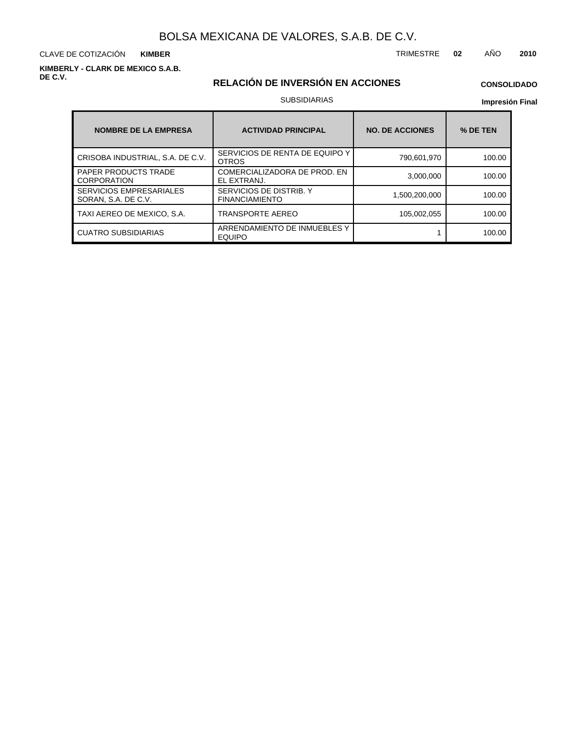CLAVE DE COTIZACIÓN TRIMESTRE **02** AÑO **2010 KIMBER**

**KIMBERLY - CLARK DE MEXICO S.A.B. DE C.V.**

# **RELACIÓN DE INVERSIÓN EN ACCIONES**

# **CONSOLIDADO**

## SUBSIDIARIAS

### **Impresión Final**

| <b>NOMBRE DE LA EMPRESA</b>                           | <b>ACTIVIDAD PRINCIPAL</b>                       | <b>NO. DE ACCIONES</b> | % DE TEN |
|-------------------------------------------------------|--------------------------------------------------|------------------------|----------|
| CRISOBA INDUSTRIAL, S.A. DE C.V.                      | SERVICIOS DE RENTA DE EQUIPO Y<br><b>OTROS</b>   | 790,601,970            | 100.00   |
| <b>PAPER PRODUCTS TRADE</b><br><b>CORPORATION</b>     | COMERCIALIZADORA DE PROD. EN<br>EL EXTRANJ.      | 3,000,000              | 100.00   |
| <b>SERVICIOS EMPRESARIALES</b><br>SORAN, S.A. DE C.V. | SERVICIOS DE DISTRIB. Y<br><b>FINANCIAMIENTO</b> | 1,500,200,000          | 100.00   |
| TAXI AEREO DE MEXICO, S.A.                            | TRANSPORTE AEREO                                 | 105.002.055            | 100.00   |
| <b>CUATRO SUBSIDIARIAS</b>                            | ARRENDAMIENTO DE INMUEBLES Y<br><b>EQUIPO</b>    |                        | 100.00   |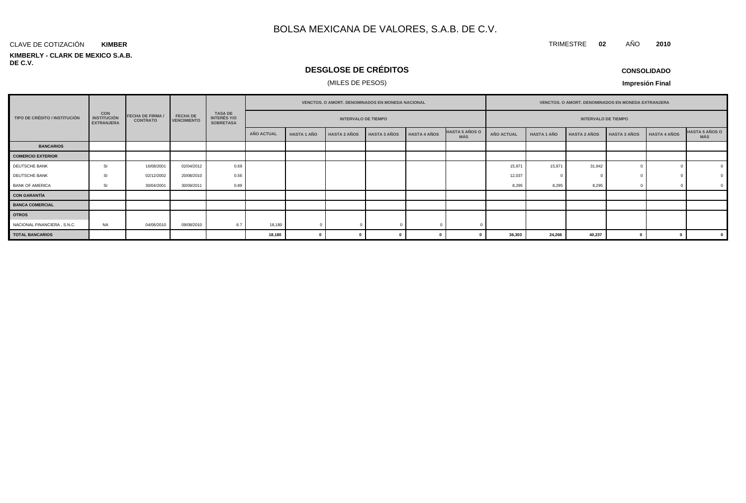### **KIMBERLY - CLARK DE MEXICO S.A.B. DE C.V.** CLAVE DE COTIZACIÓN **KIMBER**

# **DESGLOSE DE CRÉDITOS**

# (MILES DE PESOS)

| <b>CONSOLIDADO</b> |  |
|--------------------|--|
|--------------------|--|

**Impresión Final**

|                               |                                                       |                                            |                                       |                                                          |            | <b>VENCTOS, O AMORT, DENOMINADOS EN MONEDA NACIONAL</b> |                     |                     |                     |                              |                   | <b>VENCTOS, O AMORT, DENOMINADOS EN MONEDA EXTRANJERA</b> |                     |                     |                     |                              |  |  |  |
|-------------------------------|-------------------------------------------------------|--------------------------------------------|---------------------------------------|----------------------------------------------------------|------------|---------------------------------------------------------|---------------------|---------------------|---------------------|------------------------------|-------------------|-----------------------------------------------------------|---------------------|---------------------|---------------------|------------------------------|--|--|--|
| TIPO DE CRÉDITO / INSTITUCIÓN | <b>CON</b><br><b>INSTITUCIÓN</b><br><b>EXTRANJERA</b> | <b>FECHA DE FIRMA /</b><br><b>CONTRATO</b> | <b>FECHA DE</b><br><b>VENCIMIENTO</b> | <b>TASA DE</b><br><b>INTERÉS Y/O</b><br><b>SOBRETASA</b> |            | <b>INTERVALO DE TIEMPO</b>                              |                     |                     |                     |                              |                   | <b>INTERVALO DE TIEMPO</b>                                |                     |                     |                     |                              |  |  |  |
|                               |                                                       |                                            |                                       |                                                          | AÑO ACTUAL | <b>HASTA 1 AÑO</b>                                      | <b>HASTA 2 AÑOS</b> | <b>HASTA 3 AÑOS</b> | <b>HASTA 4 AÑOS</b> | <b>HASTA 5 AÑOS O</b><br>MÁS | <b>AÑO ACTUAL</b> | <b>HASTA 1 AÑO</b>                                        | <b>HASTA 2 AÑOS</b> | <b>HASTA 3 AÑOS</b> | <b>HASTA 4 AÑOS</b> | <b>HASTA 5 AÑOS O</b><br>MÁS |  |  |  |
| <b>BANCARIOS</b>              |                                                       |                                            |                                       |                                                          |            |                                                         |                     |                     |                     |                              |                   |                                                           |                     |                     |                     |                              |  |  |  |
| <b>COMERCIO EXTERIOR</b>      |                                                       |                                            |                                       |                                                          |            |                                                         |                     |                     |                     |                              |                   |                                                           |                     |                     |                     |                              |  |  |  |
| DEUTSCHE BANK                 | <b>SI</b>                                             | 16/08/2001                                 | 02/04/2012                            | 0.69                                                     |            |                                                         |                     |                     |                     |                              | 15,971            | 15.971                                                    | 31,942              |                     |                     | $\Omega$                     |  |  |  |
| DEUTSCHE BANK                 | SI                                                    | 02/12/2002                                 | 20/08/2010                            | 0.56                                                     |            |                                                         |                     |                     |                     |                              | 12,037            |                                                           |                     |                     |                     |                              |  |  |  |
| <b>BANK OF AMERICA</b>        | SI                                                    | 30/04/2001                                 | 30/09/2011                            | 0.89                                                     |            |                                                         |                     |                     |                     |                              | 8,295             | 8,295                                                     | 8,295               |                     |                     |                              |  |  |  |
| <b>CON GARANTÍA</b>           |                                                       |                                            |                                       |                                                          |            |                                                         |                     |                     |                     |                              |                   |                                                           |                     |                     |                     |                              |  |  |  |
| <b>BANCA COMERCIAL</b>        |                                                       |                                            |                                       |                                                          |            |                                                         |                     |                     |                     |                              |                   |                                                           |                     |                     |                     |                              |  |  |  |
| <b>OTROS</b>                  |                                                       |                                            |                                       |                                                          |            |                                                         |                     |                     |                     |                              |                   |                                                           |                     |                     |                     |                              |  |  |  |
| NACIONAL FINANCIERA, S.N.C.   | <b>NA</b>                                             | 04/06/2010                                 | 09/08/2010                            | 6.7                                                      | 18,180     |                                                         |                     |                     |                     |                              |                   |                                                           |                     |                     |                     |                              |  |  |  |
| <b>TOTAL BANCARIOS</b>        |                                                       |                                            |                                       |                                                          | 18,180     | 0                                                       |                     |                     |                     |                              | 36,303            | 24,266                                                    | 40,237              |                     |                     | $\mathbf{0}$                 |  |  |  |

TRIMESTRE **02** AÑO **2010**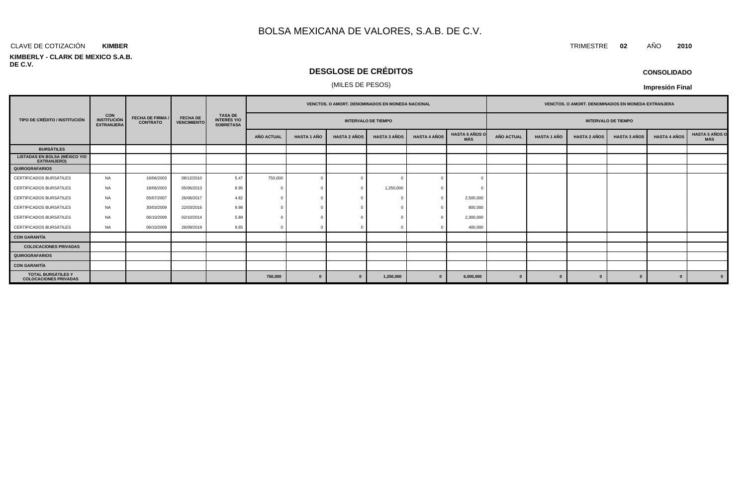### CLAVE DE COTIZACIÓN TRIMESTRE **02** AÑO **2010 KIMBER**

### **KIMBERLY - CLARK DE MEXICO S.A.B. DE C.V.**

# **DESGLOSE DE CRÉDITOS**

## (MILES DE PESOS)

| <b>CONSOLIDADO</b> |  |
|--------------------|--|
|--------------------|--|

**Impresión Final**

|                                                            |                                                       |                                            |                                       |                                                          | <b>VENCTOS, O AMORT, DENOMINADOS EN MONEDA NACIONAL</b> |                    |                     |                     |                     |                              | <b>VENCTOS, O AMORT, DENOMINADOS EN MONEDA EXTRANJERA</b> |                            |                     |                     |                     |                         |  |  |
|------------------------------------------------------------|-------------------------------------------------------|--------------------------------------------|---------------------------------------|----------------------------------------------------------|---------------------------------------------------------|--------------------|---------------------|---------------------|---------------------|------------------------------|-----------------------------------------------------------|----------------------------|---------------------|---------------------|---------------------|-------------------------|--|--|
| TIPO DE CRÉDITO / INSTITUCIÓN                              | <b>CON</b><br><b>INSTITUCIÓN</b><br><b>EXTRANJERA</b> | <b>FECHA DE FIRMA /</b><br><b>CONTRATO</b> | <b>FECHA DE</b><br><b>VENCIMIENTO</b> | <b>TASA DE</b><br><b>INTERÉS Y/O</b><br><b>SOBRETASA</b> | <b>INTERVALO DE TIEMPO</b>                              |                    |                     |                     |                     |                              |                                                           | <b>INTERVALO DE TIEMPO</b> |                     |                     |                     |                         |  |  |
|                                                            |                                                       |                                            |                                       |                                                          | <b>AÑO ACTUAL</b>                                       | <b>HASTA 1 AÑO</b> | <b>HASTA 2 AÑOS</b> | <b>HASTA 3 AÑOS</b> | <b>HASTA 4 AÑOS</b> | <b>HASTA 5 AÑOS O</b><br>MÁS | <b>AÑO ACTUAL</b>                                         | <b>HASTA 1 AÑO</b>         | <b>HASTA 2 AÑOS</b> | <b>HASTA 3 AÑOS</b> | <b>HASTA 4 AÑOS</b> | HASTA 5 AÑOS O<br>MÁS   |  |  |
| <b>BURSÁTILES</b>                                          |                                                       |                                            |                                       |                                                          |                                                         |                    |                     |                     |                     |                              |                                                           |                            |                     |                     |                     |                         |  |  |
| <b>LISTADAS EN BOLSA (MÉXICO Y/O</b><br><b>EXTRANJERO)</b> |                                                       |                                            |                                       |                                                          |                                                         |                    |                     |                     |                     |                              |                                                           |                            |                     |                     |                     |                         |  |  |
| <b>QUIROGRAFARIOS</b>                                      |                                                       |                                            |                                       |                                                          |                                                         |                    |                     |                     |                     |                              |                                                           |                            |                     |                     |                     |                         |  |  |
| CERTIFICADOS BURSÁTILES                                    | <b>NA</b>                                             | 18/06/2003                                 | 08/12/2010                            | 5.47                                                     | 750,000                                                 | $\Omega$           |                     |                     |                     |                              |                                                           |                            |                     |                     |                     |                         |  |  |
| CERTIFICADOS BURSÁTILES                                    | <b>NA</b>                                             | 18/06/2003                                 | 05/06/2013                            | 8.95                                                     |                                                         |                    |                     | 1,250,000           |                     |                              |                                                           |                            |                     |                     |                     |                         |  |  |
| CERTIFICADOS BURSÁTILES                                    | <b>NA</b>                                             | 05/07/2007                                 | 26/06/2017                            | 4.82                                                     |                                                         |                    |                     |                     |                     | 2,500,000                    |                                                           |                            |                     |                     |                     |                         |  |  |
| CERTIFICADOS BURSÁTILES                                    | <b>NA</b>                                             | 30/03/2009                                 | 22/03/2016                            | 9.98                                                     |                                                         |                    |                     |                     |                     | 800,000                      |                                                           |                            |                     |                     |                     |                         |  |  |
| CERTIFICADOS BURSÁTILES                                    | <b>NA</b>                                             | 06/10/2009                                 | 02/10/2014                            | 5.89                                                     |                                                         |                    |                     |                     |                     | 2,300,000                    |                                                           |                            |                     |                     |                     |                         |  |  |
| CERTIFICADOS BURSÁTILES                                    | NA                                                    | 06/10/2009                                 | 26/09/2019                            | 9.65                                                     |                                                         |                    |                     |                     |                     | 400,000                      |                                                           |                            |                     |                     |                     |                         |  |  |
| <b>CON GARANTÍA</b>                                        |                                                       |                                            |                                       |                                                          |                                                         |                    |                     |                     |                     |                              |                                                           |                            |                     |                     |                     |                         |  |  |
| <b>COLOCACIONES PRIVADAS</b>                               |                                                       |                                            |                                       |                                                          |                                                         |                    |                     |                     |                     |                              |                                                           |                            |                     |                     |                     |                         |  |  |
| <b>QUIROGRAFARIOS</b>                                      |                                                       |                                            |                                       |                                                          |                                                         |                    |                     |                     |                     |                              |                                                           |                            |                     |                     |                     |                         |  |  |
| <b>CON GARANTÍA</b>                                        |                                                       |                                            |                                       |                                                          |                                                         |                    |                     |                     |                     |                              |                                                           |                            |                     |                     |                     |                         |  |  |
| <b>TOTAL BURSÁTILES Y</b><br><b>COLOCACIONES PRIVADAS</b>  |                                                       |                                            |                                       |                                                          | 750,000                                                 |                    | $\mathbf{0}$        | 1,250,000           |                     | 6,000,000                    | $\Omega$                                                  | $\mathbf{u}$               | $\mathbf{a}$        |                     | $\bf{0}$            | $\overline{\mathbf{0}}$ |  |  |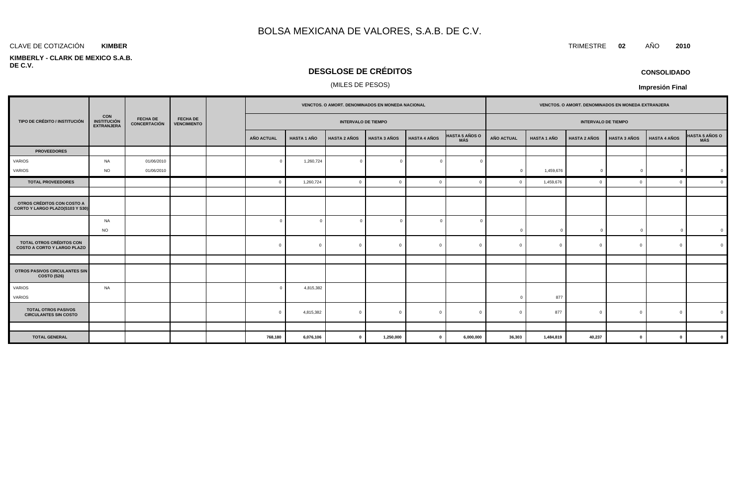### **KIMBER**

### **KIMBERLY - CLARK DE MEXICO S.A.B. DE C.V.**

# **DESGLOSE DE CRÉDITOS**

# (MILES DE PESOS)

|                                                                |                                                       |                                        | <b>FECHA DE</b><br><b>VENCIMIENTO</b> | VENCTOS. O AMORT. DENOMINADOS EN MONEDA NACIONAL |                    |                     |                     |                     |                              | VENCTOS. O AMORT. DENOMINADOS EN MONEDA EXTRANJERA |                    |                     |                     |                     |                |                            |  |  |  |  |  |                            |  |  |
|----------------------------------------------------------------|-------------------------------------------------------|----------------------------------------|---------------------------------------|--------------------------------------------------|--------------------|---------------------|---------------------|---------------------|------------------------------|----------------------------------------------------|--------------------|---------------------|---------------------|---------------------|----------------|----------------------------|--|--|--|--|--|----------------------------|--|--|
| TIPO DE CRÉDITO / INSTITUCIÓN                                  | <b>CON</b><br><b>INSTITUCIÓN</b><br><b>EXTRANJERA</b> | <b>FECHA DE</b><br><b>CONCERTACIÓN</b> |                                       |                                                  |                    |                     |                     |                     |                              |                                                    |                    |                     |                     |                     |                | <b>INTERVALO DE TIEMPO</b> |  |  |  |  |  | <b>INTERVALO DE TIEMPO</b> |  |  |
|                                                                |                                                       |                                        |                                       | AÑO ACTUAL                                       | <b>HASTA 1 AÑO</b> | <b>HASTA 2 AÑOS</b> | <b>HASTA 3 AÑOS</b> | <b>HASTA 4 AÑOS</b> | HASTA 5 AÑOS O<br><b>MÁS</b> | <b>AÑO ACTUAL</b>                                  | <b>HASTA 1 AÑO</b> | <b>HASTA 2 AÑOS</b> | <b>HASTA 3 AÑOS</b> | <b>HASTA 4 AÑOS</b> | HASTA 5 AÑOS O |                            |  |  |  |  |  |                            |  |  |
| <b>PROVEEDORES</b>                                             |                                                       |                                        |                                       |                                                  |                    |                     |                     |                     |                              |                                                    |                    |                     |                     |                     |                |                            |  |  |  |  |  |                            |  |  |
| VARIOS                                                         | NA                                                    | 01/06/2010                             |                                       | $\Omega$                                         | 1,260,724          | $\overline{0}$      | $\Omega$            | $\Omega$            |                              |                                                    |                    |                     |                     |                     |                |                            |  |  |  |  |  |                            |  |  |
| VARIOS                                                         | <b>NO</b>                                             | 01/06/2010                             |                                       |                                                  |                    |                     |                     |                     |                              | $\Omega$                                           | 1,459,676          | $\mathbf{0}$        | $\Omega$            | $\mathbf 0$         |                |                            |  |  |  |  |  |                            |  |  |
| <b>TOTAL PROVEEDORES</b>                                       |                                                       |                                        |                                       | $\mathbf{0}$                                     | 1,260,724          | $\mathbf{0}$        | $\Omega$            | $\Omega$            |                              | $\Omega$                                           | 1,459,676          | $\Omega$            | $\Omega$            | $\mathbf{0}$        | $\mathfrak{c}$ |                            |  |  |  |  |  |                            |  |  |
|                                                                |                                                       |                                        |                                       |                                                  |                    |                     |                     |                     |                              |                                                    |                    |                     |                     |                     |                |                            |  |  |  |  |  |                            |  |  |
| OTROS CRÉDITOS CON COSTO A<br>CORTO Y LARGO PLAZO(S103 Y S30)  |                                                       |                                        |                                       |                                                  |                    |                     |                     |                     |                              |                                                    |                    |                     |                     |                     |                |                            |  |  |  |  |  |                            |  |  |
|                                                                | NA<br><b>NO</b>                                       |                                        |                                       | $\Omega$                                         |                    | $\overline{0}$      |                     | $\Omega$            |                              | $\Omega$                                           | $\Omega$           | $^{\circ}$          |                     | $\Omega$            |                |                            |  |  |  |  |  |                            |  |  |
| TOTAL OTROS CRÉDITOS CON<br><b>COSTO A CORTO Y LARGO PLAZO</b> |                                                       |                                        |                                       | $\mathbf{0}$                                     | $\Omega$           | $\overline{0}$      | $\Omega$            | $\mathbf{0}$        | $\Omega$                     | $\Omega$                                           | $\Omega$           | $\Omega$            | $\Omega$            | $\mathbf{0}$        |                |                            |  |  |  |  |  |                            |  |  |
|                                                                |                                                       |                                        |                                       |                                                  |                    |                     |                     |                     |                              |                                                    |                    |                     |                     |                     |                |                            |  |  |  |  |  |                            |  |  |
| <b>OTROS PASIVOS CIRCULANTES SIN</b><br>COSTO (S26)            |                                                       |                                        |                                       |                                                  |                    |                     |                     |                     |                              |                                                    |                    |                     |                     |                     |                |                            |  |  |  |  |  |                            |  |  |
| VARIOS<br>VARIOS                                               | <b>NA</b>                                             |                                        |                                       | $\Omega$                                         | 4,815,382          |                     |                     |                     |                              |                                                    | 877                |                     |                     |                     |                |                            |  |  |  |  |  |                            |  |  |
| <b>TOTAL OTROS PASIVOS</b><br><b>CIRCULANTES SIN COSTO</b>     |                                                       |                                        |                                       | $\Omega$                                         | 4,815,382          | $\mathbf{0}$        | $\Omega$            | $\Omega$            | $\Omega$                     |                                                    | 877                | $\Omega$            | $\sqrt{ }$          | $\Omega$            |                |                            |  |  |  |  |  |                            |  |  |
|                                                                |                                                       |                                        |                                       |                                                  |                    |                     |                     |                     |                              |                                                    |                    |                     |                     |                     |                |                            |  |  |  |  |  |                            |  |  |
| <b>TOTAL GENERAL</b>                                           |                                                       |                                        |                                       | 768,180                                          | 6,076,106          | $\mathbf{0}$        | 1,250,000           | $\mathbf 0$         | 6,000,000                    | 36,303                                             | 1,484,819          | 40,237              | $\mathbf{0}$        | $\mathbf{0}$        |                |                            |  |  |  |  |  |                            |  |  |

**CONSOLIDADO**

**Impresión Final**

CLAVE DE COTIZACIÓN TRIMESTRE **02** AÑO **2010**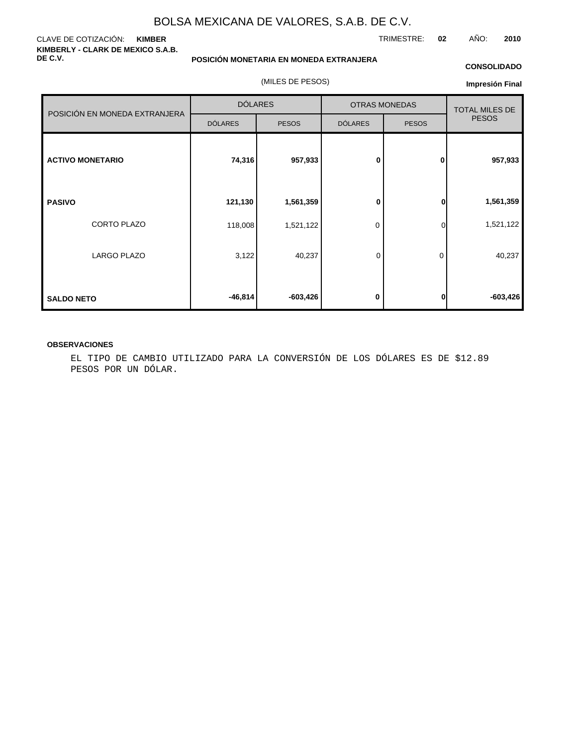### CLAVE DE COTIZACIÓN: **KIMBER KIMBERLY - CLARK DE MEXICO S.A.B. DE C.V.**

**POSICIÓN MONETARIA EN MONEDA EXTRANJERA**

(MILES DE PESOS)

### **CONSOLIDADO**

TRIMESTRE: **02** AÑO: **2010**

| Impresión Final |  |
|-----------------|--|
|-----------------|--|

| POSICIÓN EN MONEDA EXTRANJERA |                | <b>DÓLARES</b> |                | <b>OTRAS MONEDAS</b> |              |  |  |
|-------------------------------|----------------|----------------|----------------|----------------------|--------------|--|--|
|                               | <b>DÓLARES</b> | <b>PESOS</b>   | <b>DÓLARES</b> | <b>PESOS</b>         | <b>PESOS</b> |  |  |
| <b>ACTIVO MONETARIO</b>       | 74,316         | 957,933        | 0              | 0                    | 957,933      |  |  |
| <b>PASIVO</b>                 | 121,130        | 1,561,359      | 0              | $\bf{0}$             | 1,561,359    |  |  |
| CORTO PLAZO                   | 118,008        | 1,521,122      | 0              | $\Omega$             | 1,521,122    |  |  |
| LARGO PLAZO                   | 3,122          | 40,237         | 0              | 0                    | 40,237       |  |  |
| <b>SALDO NETO</b>             | $-46,814$      | $-603,426$     | 0              | $\bf{0}$             | $-603,426$   |  |  |

### **OBSERVACIONES**

EL TIPO DE CAMBIO UTILIZADO PARA LA CONVERSIÓN DE LOS DÓLARES ES DE \$12.89 PESOS POR UN DÓLAR.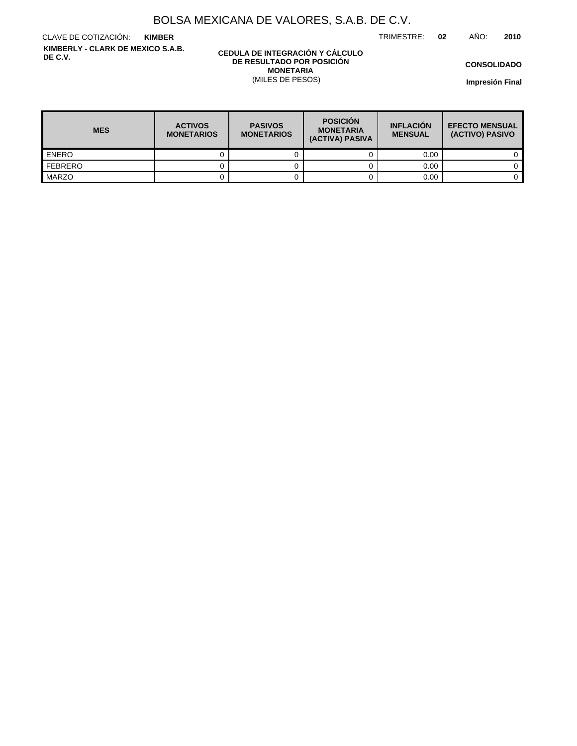TRIMESTRE: **02** AÑO: **2010**

CLAVE DE COTIZACIÓN: **KIMBER KIMBERLY - CLARK DE MEXICO S.A.B. DE C.V.**

### **CEDULA DE INTEGRACIÓN Y CÁLCULO DE RESULTADO POR POSICIÓN MONETARIA** (MILES DE PESOS)

**CONSOLIDADO**

**Impresión Final**

| <b>MES</b>       | <b>ACTIVOS</b><br><b>MONETARIOS</b> | <b>POSICIÓN</b><br><b>PASIVOS</b><br><b>MONETARIA</b><br><b>MONETARIOS</b><br>(ACTIVA) PASIVA |  | <b>INFLACIÓN</b><br><b>MENSUAL</b> | <b>EFECTO MENSUAL</b><br>(ACTIVO) PASIVO |
|------------------|-------------------------------------|-----------------------------------------------------------------------------------------------|--|------------------------------------|------------------------------------------|
| <b>LENERO</b>    |                                     |                                                                                               |  | 0.00                               |                                          |
| <b>I</b> FEBRERO |                                     |                                                                                               |  | 0.00                               |                                          |
| <b>MARZO</b>     |                                     |                                                                                               |  | 0.00                               |                                          |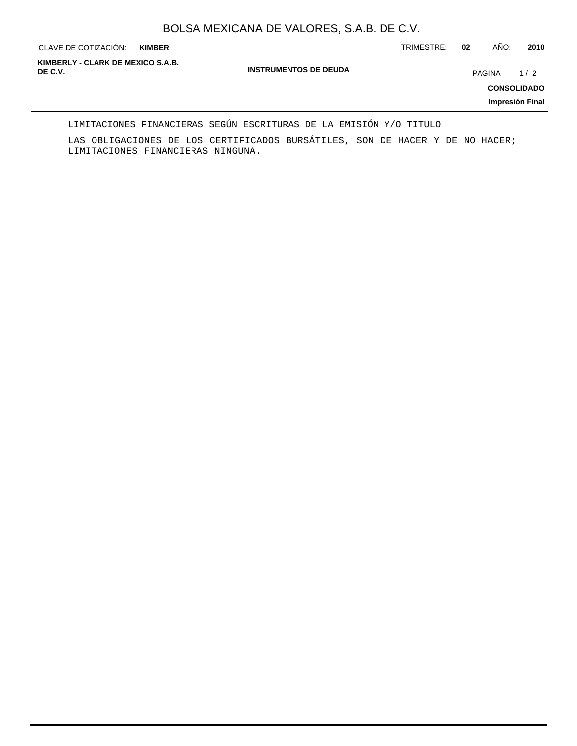**KIMBER**

CLAVE DE COTIZACIÓN: TRIMESTRE: **02** AÑO: **2010**

**INSTRUMENTOS DE DEUDA DE C.V.** PAGINA 1 / 2 **KIMBERLY - CLARK DE MEXICO S.A.B.**

**CONSOLIDADO**

**Impresión Final**

### LIMITACIONES FINANCIERAS SEGÚN ESCRITURAS DE LA EMISIÓN Y/O TITULO

LAS OBLIGACIONES DE LOS CERTIFICADOS BURSÁTILES, SON DE HACER Y DE NO HACER; LIMITACIONES FINANCIERAS NINGUNA.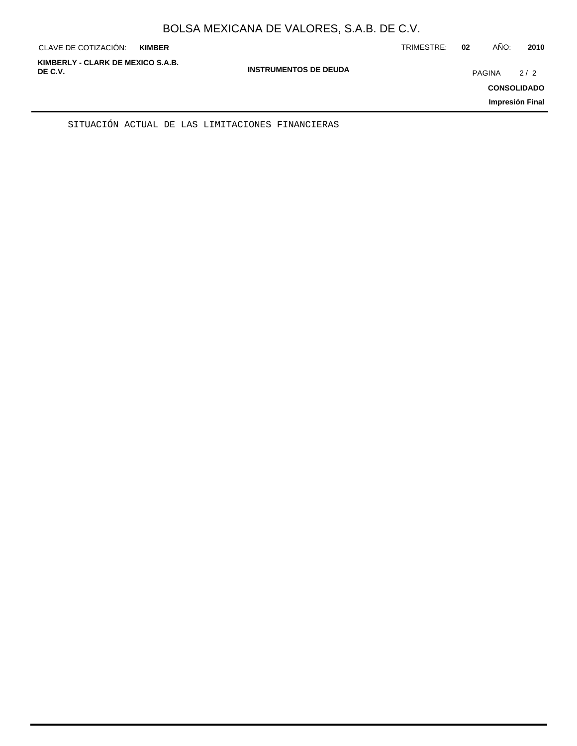| KIMBERLY - CLARK DE MEXICO S.A.B.<br><b>INSTRUMENTOS DE DEUDA</b><br>DE C.V.<br>PAGINA<br>2/2<br><b>CONSOLIDADO</b><br>Impresión Final | CLAVE DE COTIZACIÓN: | <b>KIMBER</b> | TRIMESTRE: | 02 | AÑO: | 2010 |
|----------------------------------------------------------------------------------------------------------------------------------------|----------------------|---------------|------------|----|------|------|
|                                                                                                                                        |                      |               |            |    |      |      |

SITUACIÓN ACTUAL DE LAS LIMITACIONES FINANCIERAS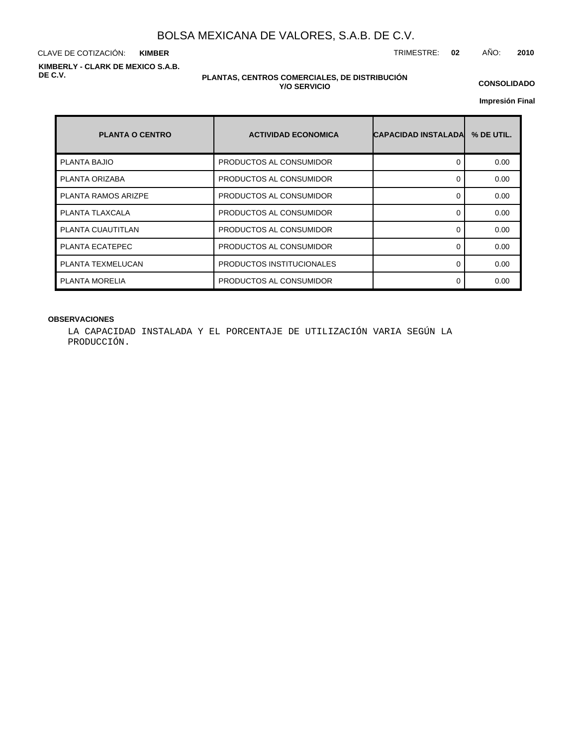CLAVE DE COTIZACIÓN: TRIMESTRE: **02** AÑO: **2010 KIMBER KIMBERLY - CLARK DE MEXICO S.A.B. DE C.V.**

### **PLANTAS, CENTROS COMERCIALES, DE DISTRIBUCIÓN Y/O SERVICIO**

**CONSOLIDADO**

**Impresión Final**

| <b>PLANTA O CENTRO</b> | <b>ACTIVIDAD ECONOMICA</b> | <b>CAPACIDAD INSTALADA</b> | % DE UTIL. |
|------------------------|----------------------------|----------------------------|------------|
| PLANTA BAJIO           | PRODUCTOS AL CONSUMIDOR    |                            | 0.00       |
| PLANTA ORIZABA         | PRODUCTOS AL CONSUMIDOR    |                            | 0.00       |
| PLANTA RAMOS ARIZPE    | PRODUCTOS AL CONSUMIDOR    | ∩                          | 0.00       |
| PLANTA TLAXCALA        | PRODUCTOS AL CONSUMIDOR    |                            | 0.00       |
| PLANTA CUAUTITLAN      | PRODUCTOS AL CONSUMIDOR    | ∩                          | 0.00       |
| PLANTA ECATEPEC        | PRODUCTOS AL CONSUMIDOR    | 0                          | 0.00       |
| PLANTA TEXMELUCAN      | PRODUCTOS INSTITUCIONALES  | ∩                          | 0.00       |
| <b>PLANTA MORELIA</b>  | PRODUCTOS AL CONSUMIDOR    |                            | 0.00       |

## **OBSERVACIONES**

LA CAPACIDAD INSTALADA Y EL PORCENTAJE DE UTILIZACIÓN VARIA SEGÚN LA PRODUCCIÓN.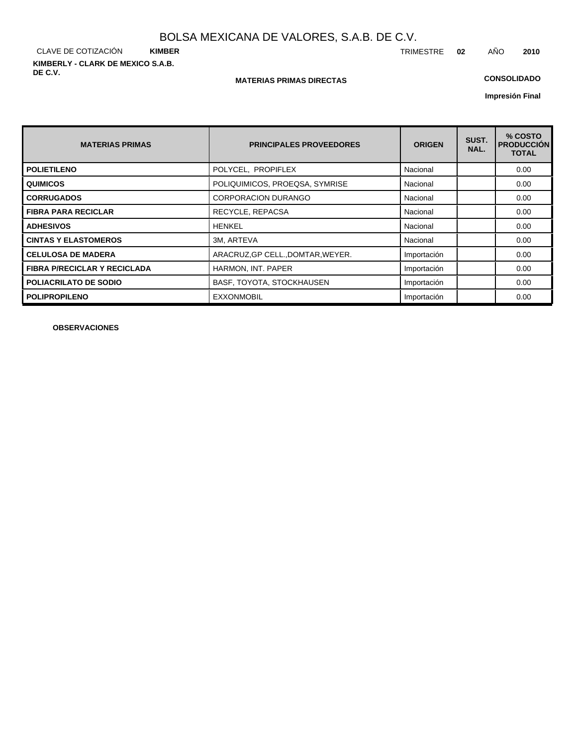CLAVE DE COTIZACIÓN **KIMBER KIMBERLY - CLARK DE MEXICO S.A.B. DE C.V.**

### **MATERIAS PRIMAS DIRECTAS**

# **CONSOLIDADO**

**Impresión Final**

| <b>MATERIAS PRIMAS</b>              | <b>PRINCIPALES PROVEEDORES</b>    | <b>ORIGEN</b> | SUST.<br>NAL. | % COSTO<br><b>PRODUCCIÓN</b><br><b>TOTAL</b> |
|-------------------------------------|-----------------------------------|---------------|---------------|----------------------------------------------|
| <b>POLIETILENO</b>                  | POLYCEL, PROPIFLEX                | Nacional      |               | 0.00                                         |
| <b>QUIMICOS</b>                     | POLIQUIMICOS, PROEQSA, SYMRISE    | Nacional      |               | 0.00                                         |
| <b>CORRUGADOS</b>                   | <b>CORPORACION DURANGO</b>        | Nacional      |               | 0.00                                         |
| <b>FIBRA PARA RECICLAR</b>          | RECYCLE, REPACSA                  | Nacional      |               | 0.00                                         |
| <b>ADHESIVOS</b>                    | <b>HENKEL</b>                     | Nacional      |               | 0.00                                         |
| <b>CINTAS Y ELASTOMEROS</b>         | 3M, ARTEVA                        | Nacional      |               | 0.00                                         |
| <b>CELULOSA DE MADERA</b>           | ARACRUZ, GP CELL., DOMTAR, WEYER. | Importación   |               | 0.00                                         |
| <b>FIBRA P/RECICLAR Y RECICLADA</b> | HARMON, INT. PAPER                | Importación   |               | 0.00                                         |
| <b>POLIACRILATO DE SODIO</b>        | BASF, TOYOTA, STOCKHAUSEN         | Importación   |               | 0.00                                         |
| <b>POLIPROPILENO</b>                | <b>EXXONMOBIL</b>                 | Importación   |               | 0.00                                         |

**OBSERVACIONES**

TRIMESTRE **02** AÑO **2010**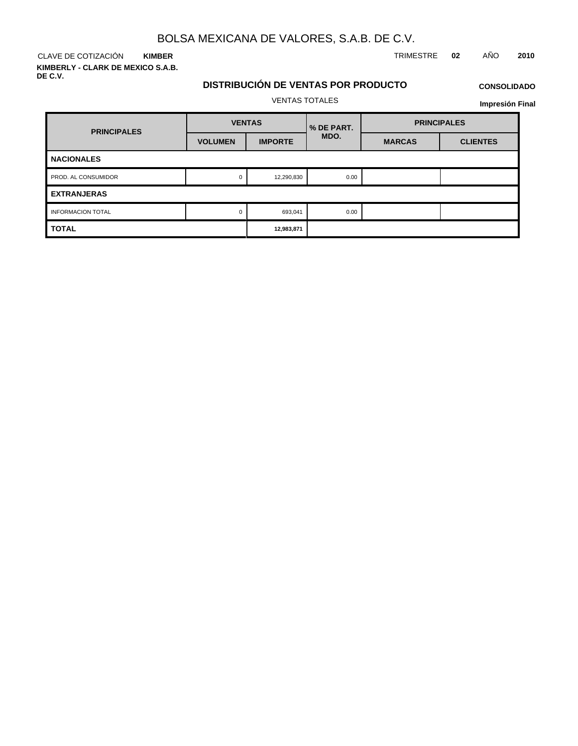CLAVE DE COTIZACIÓN TRIMESTRE **02** AÑO **2010 KIMBER**

**KIMBERLY - CLARK DE MEXICO S.A.B. DE C.V.**

# **DISTRIBUCIÓN DE VENTAS POR PRODUCTO**

# **CONSOLIDADO Impresión Final**

VENTAS TOTALES

| <b>PRINCIPALES</b>       | <b>VENTAS</b>  |                | % DE PART. | <b>PRINCIPALES</b> |                 |  |  |
|--------------------------|----------------|----------------|------------|--------------------|-----------------|--|--|
|                          | <b>VOLUMEN</b> | <b>IMPORTE</b> | MDO.       | <b>MARCAS</b>      | <b>CLIENTES</b> |  |  |
| <b>NACIONALES</b>        |                |                |            |                    |                 |  |  |
| PROD. AL CONSUMIDOR      | 0              | 12,290,830     | 0.00       |                    |                 |  |  |
| <b>EXTRANJERAS</b>       |                |                |            |                    |                 |  |  |
| <b>INFORMACION TOTAL</b> | 0              | 693,041        | 0.00       |                    |                 |  |  |
| <b>TOTAL</b>             |                | 12,983,871     |            |                    |                 |  |  |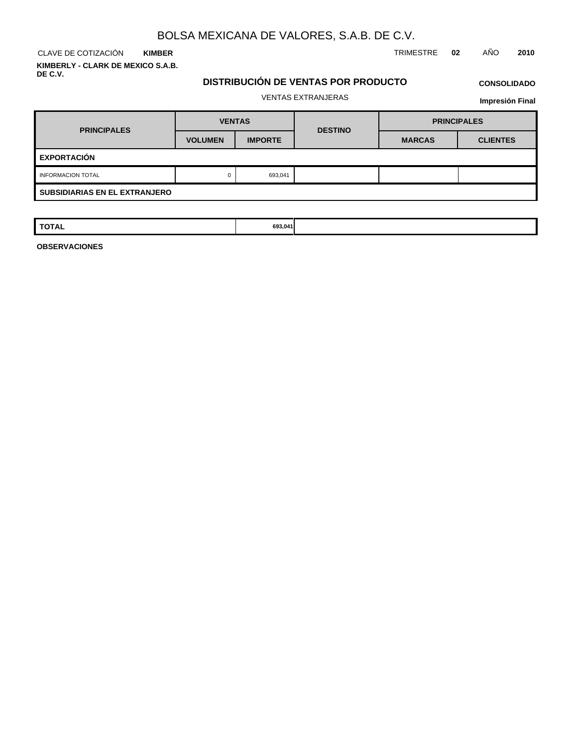CLAVE DE COTIZACIÓN TRIMESTRE **02** AÑO **2010 KIMBER KIMBERLY - CLARK DE MEXICO S.A.B.**

**DE C.V.**

# **DISTRIBUCIÓN DE VENTAS POR PRODUCTO**

# **CONSOLIDADO**

## VENTAS EXTRANJERAS

**Impresión Final**

| <b>PRINCIPALES</b>                   | <b>VENTAS</b>  |                | <b>DESTINO</b> |               | <b>PRINCIPALES</b> |  |  |
|--------------------------------------|----------------|----------------|----------------|---------------|--------------------|--|--|
|                                      | <b>VOLUMEN</b> | <b>IMPORTE</b> |                | <b>MARCAS</b> | <b>CLIENTES</b>    |  |  |
| <b>EXPORTACIÓN</b>                   |                |                |                |               |                    |  |  |
| <b>INFORMACION TOTAL</b>             | 0              | 693,041        |                |               |                    |  |  |
| <b>SUBSIDIARIAS EN EL EXTRANJERO</b> |                |                |                |               |                    |  |  |

| <b>TOTAL</b> | 693,041<br>. |  |  |
|--------------|--------------|--|--|
|              |              |  |  |
|              |              |  |  |

**OBSERVACIONES**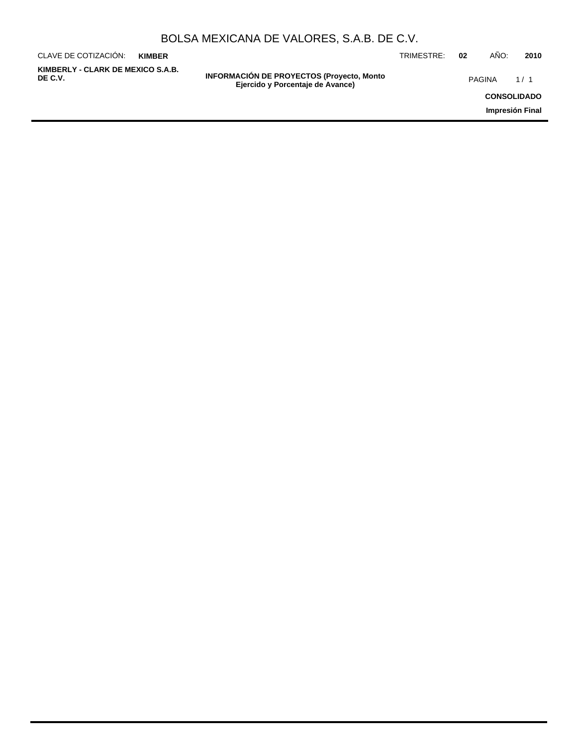| BOLSA MEXICANA DE VALORES, S.A.B. DE C.V. |  |  |  |
|-------------------------------------------|--|--|--|
|-------------------------------------------|--|--|--|

| CLAVE DE COTIZACIÓN:                         | <b>KIMBER</b> |                                                                                      | TRIMESTRE: | 02            | ANO:               | 2010 |
|----------------------------------------------|---------------|--------------------------------------------------------------------------------------|------------|---------------|--------------------|------|
| KIMBERLY - CLARK DE MEXICO S.A.B.<br>DE C.V. |               | <b>INFORMACIÓN DE PROYECTOS (Proyecto, Monto</b><br>Ejercido y Porcentaje de Avance) |            | <b>PAGINA</b> |                    | 1/1  |
|                                              |               |                                                                                      |            |               | <b>CONSOLIDADO</b> |      |
|                                              |               |                                                                                      |            |               | Impresión Final    |      |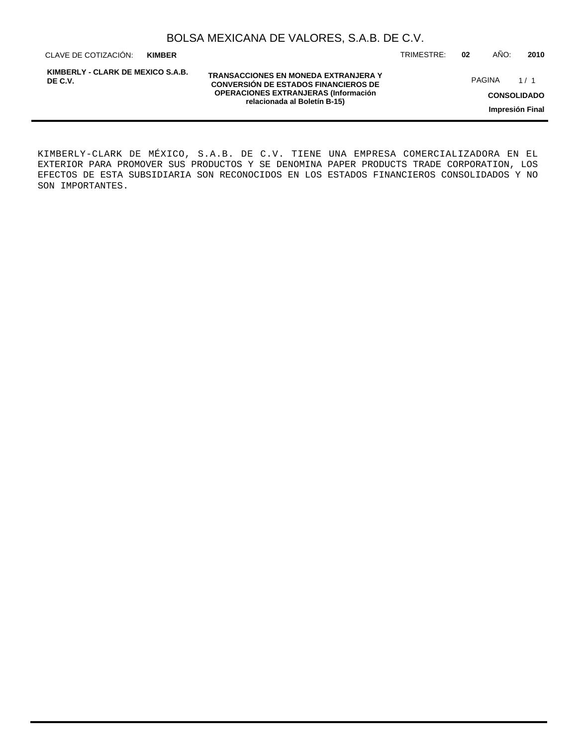| BOLSA MEXICANA DE VALORES, S.A.B. DE C.V. |  |  |  |
|-------------------------------------------|--|--|--|
|-------------------------------------------|--|--|--|

CLAVE DE COTIZACIÓN: TRIMESTRE: **02** AÑO: **2010 KIMBER**

**KIMBERLY - CLARK DE MEXICO S.A.B. DE C.V.**

**TRANSACCIONES EN MONEDA EXTRANJERA Y CONVERSIÓN DE ESTADOS FINANCIEROS DE OPERACIONES EXTRANJERAS (Información relacionada al Boletín B-15)**

PAGINA 1/1

**CONSOLIDADO**

**Impresión Final**

KIMBERLY-CLARK DE MÉXICO, S.A.B. DE C.V. TIENE UNA EMPRESA COMERCIALIZADORA EN EL EXTERIOR PARA PROMOVER SUS PRODUCTOS Y SE DENOMINA PAPER PRODUCTS TRADE CORPORATION, LOS EFECTOS DE ESTA SUBSIDIARIA SON RECONOCIDOS EN LOS ESTADOS FINANCIEROS CONSOLIDADOS Y NO SON IMPORTANTES.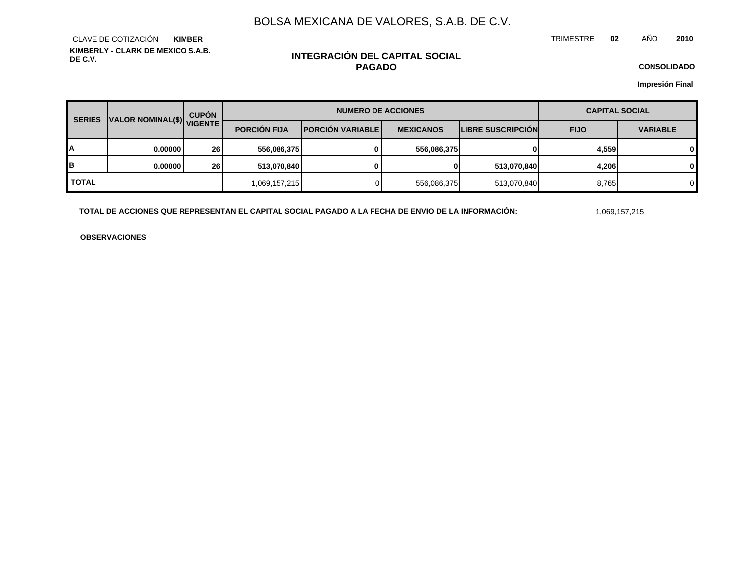TRIMESTRE **02** AÑO **2010**

**KIMBERLY - CLARK DE MEXICO S.A.B. DE C.V.** CLAVE DE COTIZACIÓN **KIMBER**

# **INTEGRACIÓN DEL CAPITAL SOCIAL PAGADO**

**CONSOLIDADO**

**Impresión Final**

| <b>SERIES</b> | VALOR NOMINAL(\$) VIGENTE | <b>CUPÓN</b> | <b>NUMERO DE ACCIONES</b> |                           |                  |                          | <b>CAPITAL SOCIAL</b> |                 |
|---------------|---------------------------|--------------|---------------------------|---------------------------|------------------|--------------------------|-----------------------|-----------------|
|               |                           |              | <b>PORCIÓN FIJA</b>       | <b>IPORCIÓN VARIABLEI</b> | <b>MEXICANOS</b> | <b>LIBRE SUSCRIPCION</b> | <b>FIJO</b>           | <b>VARIABLE</b> |
| А             | 0.00000                   | 26           | 556,086,375               | 0                         | 556.086.375      |                          | 4,559                 | $\mathbf{0}$    |
| в             | 0.00000                   | 26           | 513,070,840               | 0                         | 01               | 513,070,840              | 4,206                 | $\mathbf{0}$    |
| <b>TOTAL</b>  |                           |              | 1,069,157,215             |                           | 556,086,375      | 513,070,840              | 8,765                 |                 |

TOTAL DE ACCIONES QUE REPRESENTAN EL CAPITAL SOCIAL PAGADO A LA FECHA DE ENVIO DE LA INFORMACIÓN: 1999,157,215

**OBSERVACIONES**